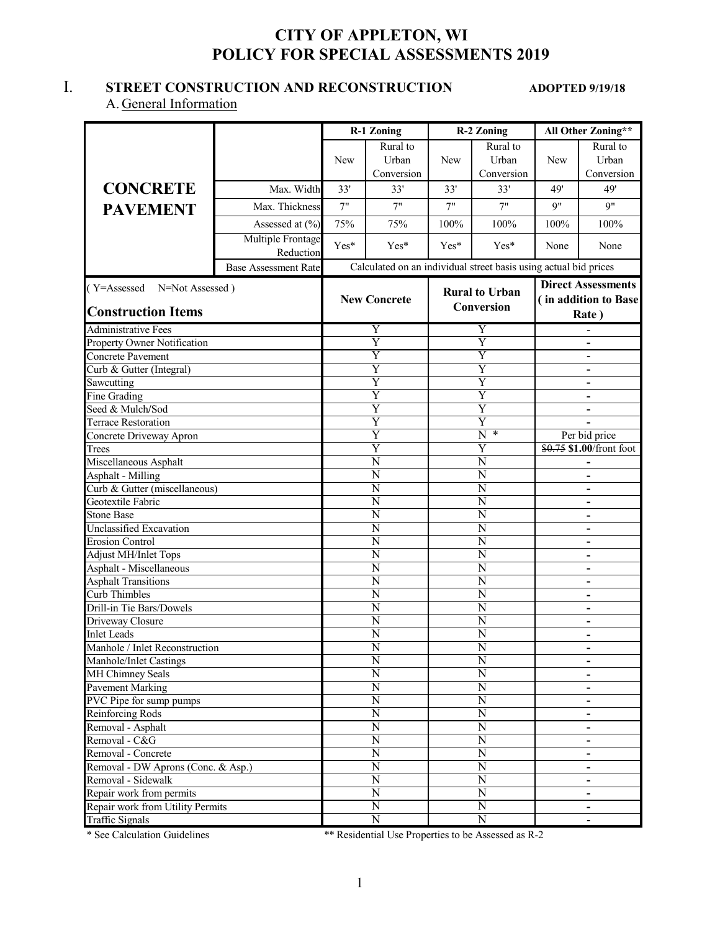# **CITY OF APPLETON, WI POLICY FOR SPECIAL ASSESSMENTS 2019**

## I. **STREET CONSTRUCTION AND RECONSTRUCTION ADOPTED 9/19/18**

### A. General Information

|                                                          |                                |                                             |                                                                  | <b>R-2 Zoning</b>                           |                         | All Other Zoning**                                   |                               |
|----------------------------------------------------------|--------------------------------|---------------------------------------------|------------------------------------------------------------------|---------------------------------------------|-------------------------|------------------------------------------------------|-------------------------------|
|                                                          |                                |                                             | <b>R-1 Zoning</b>                                                |                                             |                         |                                                      |                               |
|                                                          |                                |                                             | Rural to                                                         |                                             | Rural to                |                                                      | Rural to                      |
|                                                          |                                | <b>New</b>                                  | Urban                                                            | <b>New</b>                                  | <b>Urban</b>            | <b>New</b>                                           | Urban                         |
|                                                          |                                |                                             | Conversion                                                       |                                             | Conversion              |                                                      | Conversion                    |
| <b>CONCRETE</b>                                          | Max. Width                     | 33'                                         | 33'                                                              | 33'                                         | 33'                     | 49'                                                  | 49'                           |
| <b>PAVEMENT</b>                                          | Max. Thickness                 | 7"                                          | 7"                                                               | 7"                                          | 7"                      | q"                                                   | 9"                            |
|                                                          | Assessed at (%)                | 75%                                         | 75%                                                              | 100%                                        | 100%                    | 100%                                                 | 100%                          |
|                                                          | Multiple Frontage<br>Reduction | Yes*                                        | Yes*                                                             | $Yes*$                                      | Yes*                    | None                                                 | None                          |
|                                                          | <b>Base Assessment Rate</b>    |                                             | Calculated on an individual street basis using actual bid prices |                                             |                         |                                                      |                               |
| (Y=Assessed N=Not Assessed)                              |                                |                                             |                                                                  |                                             |                         |                                                      | <b>Direct Assessments</b>     |
|                                                          |                                |                                             | <b>New Concrete</b>                                              |                                             | <b>Rural to Urban</b>   |                                                      | (in addition to Base          |
| <b>Construction Items</b>                                |                                |                                             |                                                                  |                                             | <b>Conversion</b>       |                                                      | Rate)                         |
| Administrative Fees                                      |                                |                                             |                                                                  |                                             | Y                       |                                                      |                               |
| Property Owner Notification                              |                                |                                             | Y<br>$\overline{\mathrm{Y}}$                                     |                                             | $\overline{\mathrm{Y}}$ |                                                      |                               |
| Concrete Pavement                                        |                                |                                             | Ÿ                                                                |                                             | Y                       |                                                      |                               |
| Curb & Gutter (Integral)                                 |                                |                                             | $\overline{\text{Y}}$                                            |                                             | $\overline{\mathrm{Y}}$ |                                                      | $\qquad \qquad -$             |
| Sawcutting                                               |                                |                                             | Y                                                                |                                             | $\overline{\mathrm{Y}}$ |                                                      | -<br>$\overline{\phantom{0}}$ |
| Fine Grading                                             |                                |                                             | $\overline{\text{Y}}$                                            |                                             | $\overline{\mathrm{Y}}$ |                                                      | -                             |
| Seed & Mulch/Sod                                         |                                |                                             | Y                                                                |                                             | Y                       |                                                      | $\overline{a}$                |
| <b>Terrace Restoration</b>                               |                                | Y                                           |                                                                  |                                             | Y                       |                                                      |                               |
| Concrete Driveway Apron                                  |                                | Y                                           |                                                                  | $\overline{\text{N}}$<br>$\ast$             |                         | Per bid price                                        |                               |
| Trees                                                    |                                | $\overline{\mathrm{Y}}$                     |                                                                  | $\overline{\mathrm{Y}}$                     |                         | \$0.75 \$1.00/front foot                             |                               |
| Miscellaneous Asphalt                                    |                                | $\overline{\text{N}}$                       |                                                                  | $\overline{N}$                              |                         | -                                                    |                               |
| Asphalt - Milling                                        |                                | $\overline{N}$                              |                                                                  | $\overline{\text{N}}$                       |                         |                                                      | -                             |
| Curb & Gutter (miscellaneous)                            |                                | N                                           |                                                                  | $\overline{N}$                              |                         | $\overline{a}$                                       |                               |
| Geotextile Fabric                                        |                                | N                                           |                                                                  | N                                           |                         |                                                      | $\overline{a}$                |
| <b>Stone Base</b>                                        |                                | N                                           |                                                                  | N                                           |                         | $\overline{\phantom{0}}$                             |                               |
| Unclassified Excavation                                  |                                | N                                           |                                                                  | N                                           |                         | $\overline{\phantom{0}}$                             |                               |
| <b>Erosion Control</b>                                   |                                |                                             | N                                                                | N                                           |                         | $\overline{a}$                                       |                               |
| Adjust MH/Inlet Tops                                     |                                |                                             | N                                                                |                                             | N                       |                                                      | -                             |
| Asphalt - Miscellaneous                                  |                                |                                             | N                                                                |                                             | N                       |                                                      | $\overline{\phantom{0}}$      |
| <b>Asphalt Transitions</b>                               |                                |                                             | $\overline{\rm N}$                                               | N                                           |                         | $\overline{\phantom{0}}$                             |                               |
| Curb Thimbles                                            |                                |                                             | N                                                                | N                                           |                         |                                                      | $\overline{a}$                |
| Drill-in Tie Bars/Dowels                                 |                                |                                             | N                                                                |                                             | N                       |                                                      |                               |
| Driveway Closure                                         |                                |                                             | N                                                                | N                                           |                         |                                                      | -                             |
| <b>Inlet Leads</b>                                       |                                |                                             | N                                                                | N                                           |                         | $\overline{\phantom{0}}$                             |                               |
| Manhole / Inlet Reconstruction                           |                                |                                             | N                                                                |                                             | N                       |                                                      | -                             |
| Manhole/Inlet Castings                                   |                                |                                             | $\overline{N}$                                                   |                                             | $\overline{\text{N}}$   |                                                      | $\qquad \qquad \blacksquare$  |
| MH Chimney Seals                                         |                                |                                             | $\overline{\text{N}}$                                            |                                             | $\overline{\text{N}}$   |                                                      | -                             |
| Pavement Marking                                         |                                |                                             | $\overline{\text{N}}$                                            |                                             | $\overline{\text{N}}$   |                                                      | -                             |
| PVC Pipe for sump pumps                                  |                                |                                             | $\overline{\text{N}}$                                            |                                             | $\overline{\text{N}}$   |                                                      |                               |
| Reinforcing Rods                                         |                                |                                             | $\overline{N}$                                                   |                                             | $\overline{\text{N}}$   |                                                      | $\overline{\phantom{0}}$      |
| Removal - Asphalt                                        |                                | $\overline{N}$                              |                                                                  |                                             | $\overline{\rm N}$      |                                                      | $\overline{\phantom{0}}$      |
| Removal - C&G                                            |                                |                                             | N                                                                |                                             | N                       |                                                      | $\qquad \qquad \blacksquare$  |
| Removal - Concrete<br>Removal - DW Aprons (Conc. & Asp.) |                                | $\overline{\rm N}$<br>$\overline{\text{N}}$ |                                                                  | $\overline{\rm N}$<br>$\overline{\text{N}}$ |                         | -                                                    |                               |
| Removal - Sidewalk                                       |                                |                                             | $\overline{\rm N}$                                               | $\overline{\text{N}}$                       |                         | $\overline{\phantom{0}}$<br>$\overline{\phantom{0}}$ |                               |
| Repair work from permits                                 |                                |                                             | $\overline{\rm N}$                                               |                                             | $\overline{\text{N}}$   |                                                      | $\qquad \qquad \blacksquare$  |
| Repair work from Utility Permits                         |                                |                                             | $\overline{\rm N}$                                               |                                             | $\overline{\rm N}$      |                                                      |                               |
| <b>Traffic Signals</b>                                   |                                |                                             | $\overline{\text{N}}$                                            |                                             | $\overline{\text{N}}$   |                                                      |                               |

\* See Calculation Guidelines \*\* Residential Use Properties to be Assessed as R-2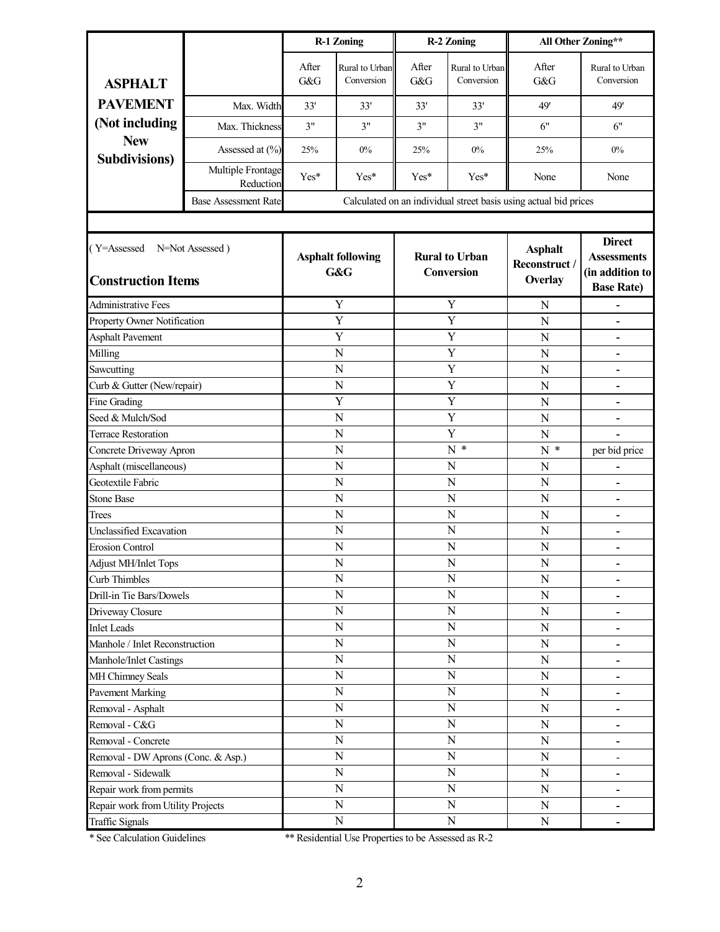|                                                             |                                | <b>R-1 Zoning</b>                                                             |                              |                                            | <b>R-2 Zoning</b>                                                           | All Other Zoning**                                               |                              |  |
|-------------------------------------------------------------|--------------------------------|-------------------------------------------------------------------------------|------------------------------|--------------------------------------------|-----------------------------------------------------------------------------|------------------------------------------------------------------|------------------------------|--|
| <b>ASPHALT</b>                                              |                                | After<br>G&G                                                                  | Rural to Urban<br>Conversion | After<br>G&G                               | Rural to Urban<br>Conversion                                                | After<br>G&G                                                     | Rural to Urban<br>Conversion |  |
| <b>PAVEMENT</b>                                             | Max. Width                     | 33'                                                                           | 33'                          | 33'                                        | 33'                                                                         | 49'                                                              | 49'                          |  |
| (Not including                                              | Max. Thickness                 | 3"                                                                            | 3"                           | 3"                                         | 3"                                                                          | 6"                                                               | 6"                           |  |
| <b>New</b><br><b>Subdivisions</b> )                         | Assessed at (%)                | 25%                                                                           | $0\%$                        | 25%                                        | 0%                                                                          | 25%                                                              | $0\%$                        |  |
|                                                             | Multiple Frontage<br>Reduction | Yes*                                                                          | Yes*                         | Yes*                                       | $Yes*$                                                                      | None                                                             | None                         |  |
|                                                             | <b>Base Assessment Rate</b>    |                                                                               |                              |                                            |                                                                             | Calculated on an individual street basis using actual bid prices |                              |  |
|                                                             |                                |                                                                               |                              |                                            |                                                                             |                                                                  |                              |  |
| (Y=Assessed<br>N=Not Assessed)<br><b>Construction Items</b> |                                | <b>Rural to Urban</b><br><b>Asphalt following</b><br>G&G<br><b>Conversion</b> |                              | <b>Asphalt</b><br>Reconstruct /<br>Overlay | <b>Direct</b><br><b>Assessments</b><br>(in addition to<br><b>Base Rate)</b> |                                                                  |                              |  |
| <b>Administrative Fees</b>                                  |                                |                                                                               | Y                            |                                            | Y                                                                           | N                                                                |                              |  |
| Property Owner Notification                                 |                                |                                                                               | Y                            |                                            | Y                                                                           | N                                                                | $\blacksquare$               |  |
| <b>Asphalt Pavement</b>                                     |                                |                                                                               | Y                            |                                            | Y                                                                           | N                                                                |                              |  |
| Milling                                                     |                                |                                                                               | N                            |                                            | Y                                                                           | N                                                                |                              |  |
| Sawcutting                                                  |                                | N                                                                             |                              | Y                                          |                                                                             | N                                                                | $\qquad \qquad \blacksquare$ |  |
| Curb & Gutter (New/repair)                                  |                                | $\mathbf N$                                                                   |                              | Y                                          |                                                                             | N                                                                | $\qquad \qquad \blacksquare$ |  |
| Fine Grading                                                |                                | Y                                                                             |                              | Y                                          |                                                                             | N                                                                |                              |  |
| Seed & Mulch/Sod                                            |                                | $\overline{N}$                                                                |                              | Y<br>Y                                     |                                                                             | N                                                                |                              |  |
| <b>Terrace Restoration</b>                                  |                                | N                                                                             |                              | $N^*$                                      |                                                                             | N                                                                |                              |  |
| Concrete Driveway Apron                                     |                                | N                                                                             |                              |                                            |                                                                             | $N^*$                                                            | per bid price                |  |
| Asphalt (miscellaneous)<br>Geotextile Fabric                |                                | N<br>N                                                                        |                              | N<br>${\bf N}$                             |                                                                             | N                                                                |                              |  |
| <b>Stone Base</b>                                           |                                |                                                                               |                              | N                                          |                                                                             | N                                                                | $\qquad \qquad \blacksquare$ |  |
| Trees                                                       |                                | N<br>N                                                                        |                              | N                                          |                                                                             | N<br>N                                                           |                              |  |
| <b>Unclassified Excavation</b>                              |                                | N                                                                             |                              | N                                          |                                                                             | N                                                                | $\blacksquare$               |  |
| <b>Erosion Control</b>                                      |                                | N                                                                             |                              | N                                          |                                                                             | N                                                                | $\blacksquare$               |  |
| Adjust MH/Inlet Tops                                        |                                | $\mathbf N$                                                                   |                              | N                                          |                                                                             | ${\bf N}$                                                        | ۰                            |  |
| Curb Thimbles                                               |                                |                                                                               | ${\bf N}$                    | ${\bf N}$                                  |                                                                             | N                                                                | -                            |  |
| Drill-in Tie Bars/Dowels                                    |                                |                                                                               | ${\bf N}$                    | ${\bf N}$                                  |                                                                             | ${\bf N}$                                                        | $\overline{\phantom{a}}$     |  |
| Driveway Closure                                            |                                |                                                                               | ${\bf N}$                    | ${\bf N}$                                  |                                                                             | ${\bf N}$                                                        |                              |  |
| <b>Inlet Leads</b>                                          |                                |                                                                               | $\overline{N}$               | $\mathbf N$                                |                                                                             | ${\bf N}$                                                        | -                            |  |
| Manhole / Inlet Reconstruction                              |                                |                                                                               | ${\bf N}$                    |                                            | ${\bf N}$                                                                   | ${\bf N}$                                                        | -                            |  |
| Manhole/Inlet Castings                                      |                                |                                                                               | ${\bf N}$                    |                                            | $\mathbf N$                                                                 | ${\bf N}$                                                        | $\overline{\phantom{a}}$     |  |
| MH Chimney Seals                                            |                                |                                                                               | $\mathbf N$                  |                                            | $\mathbf N$                                                                 | ${\bf N}$                                                        | ۰                            |  |
| <b>Pavement Marking</b>                                     |                                |                                                                               | ${\bf N}$                    |                                            | ${\bf N}$                                                                   | ${\bf N}$                                                        | -                            |  |
| Removal - Asphalt                                           |                                |                                                                               | ${\bf N}$                    |                                            | ${\bf N}$                                                                   | ${\bf N}$                                                        | -                            |  |
| Removal - C&G                                               |                                |                                                                               | ${\bf N}$                    |                                            | ${\bf N}$                                                                   | ${\bf N}$                                                        | -                            |  |
| Removal - Concrete                                          |                                | ${\bf N}$                                                                     |                              | ${\bf N}$                                  |                                                                             | ${\bf N}$                                                        | $\overline{\phantom{a}}$     |  |
| Removal - DW Aprons (Conc. & Asp.)                          |                                | $\overline{N}$                                                                |                              | ${\bf N}$                                  |                                                                             | $\mathbf N$                                                      | $\qquad \qquad -$            |  |
| Removal - Sidewalk                                          |                                |                                                                               | ${\bf N}$                    | ${\bf N}$                                  |                                                                             | ${\bf N}$                                                        | -                            |  |
| Repair work from permits                                    |                                |                                                                               | $\mathbf N$                  |                                            | $\overline{N}$                                                              | ${\bf N}$                                                        |                              |  |
| Repair work from Utility Projects                           |                                |                                                                               | ${\bf N}$                    |                                            | ${\bf N}$                                                                   | ${\bf N}$                                                        | -                            |  |
| <b>Traffic Signals</b>                                      |                                | ${\bf N}$                                                                     |                              | ${\bf N}$                                  |                                                                             | ${\bf N}$                                                        | -                            |  |

\* See Calculation Guidelines \*\* Residential Use Properties to be Assessed as R-2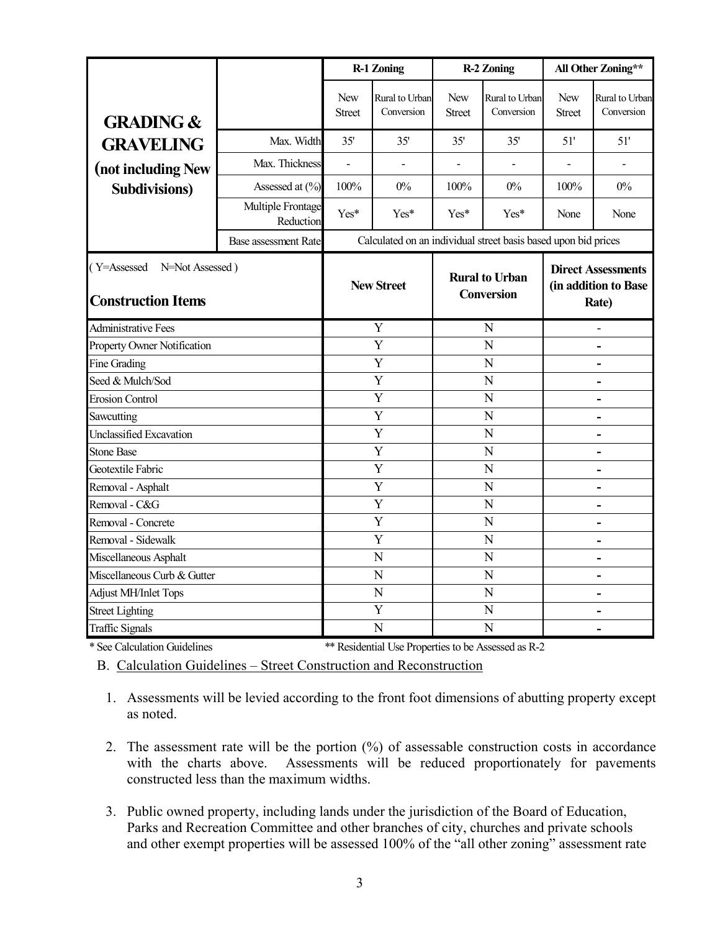|                                                          |                                |                      | <b>R-1 Zoning</b>                                              |                                            | <b>R-2 Zoning</b>            | All Other Zoning**                                         |                              |
|----------------------------------------------------------|--------------------------------|----------------------|----------------------------------------------------------------|--------------------------------------------|------------------------------|------------------------------------------------------------|------------------------------|
| <b>GRADING &amp;</b>                                     |                                | New<br><b>Street</b> | Rural to Urban<br>Conversion                                   | New<br><b>Street</b>                       | Rural to Urban<br>Conversion | <b>New</b><br><b>Street</b>                                | Rural to Urban<br>Conversion |
| <b>GRAVELING</b>                                         | Max. Width                     | 35'                  | 35'                                                            | 35'                                        | 35'                          | 51'                                                        | 51'                          |
| (not including New                                       | Max. Thickness                 |                      |                                                                |                                            |                              |                                                            |                              |
| <b>Subdivisions</b> )                                    | Assessed at (%)                | 100%                 | $0\%$                                                          | 100%                                       | $0\%$                        | 100%                                                       | $0\%$                        |
|                                                          | Multiple Frontage<br>Reduction | Yes*                 | Yes*                                                           | $Yes*$                                     | Yes*                         | None                                                       | None                         |
|                                                          | <b>Base assessment Rate</b>    |                      | Calculated on an individual street basis based upon bid prices |                                            |                              |                                                            |                              |
| (Y=Assessed N=Not Assessed)<br><b>Construction Items</b> |                                | <b>New Street</b>    |                                                                | <b>Rural to Urban</b><br><b>Conversion</b> |                              | <b>Direct Assessments</b><br>(in addition to Base<br>Rate) |                              |
| <b>Administrative Fees</b>                               |                                |                      | Y                                                              | N                                          |                              |                                                            |                              |
| Property Owner Notification                              |                                | Y                    |                                                                | N                                          |                              |                                                            |                              |
| Fine Grading                                             |                                | Y                    |                                                                | $\overline{N}$                             |                              |                                                            | L.                           |
| Seed & Mulch/Sod                                         |                                | Y                    |                                                                | N                                          |                              |                                                            |                              |
| <b>Erosion Control</b>                                   |                                | Y                    |                                                                | $\overline{N}$                             |                              |                                                            |                              |
| Sawcutting                                               |                                | Y                    |                                                                | N                                          |                              | $\blacksquare$                                             |                              |
| Unclassified Excavation                                  |                                | Y                    |                                                                | N                                          |                              | $\blacksquare$                                             |                              |
| <b>Stone Base</b>                                        |                                |                      | Y                                                              | N                                          |                              | $\blacksquare$                                             |                              |
| Geotextile Fabric                                        |                                |                      | Y                                                              | $\overline{N}$                             |                              |                                                            |                              |
| Removal - Asphalt                                        |                                | Y                    |                                                                | N                                          |                              |                                                            |                              |
| Removal - C&G                                            |                                |                      | Y                                                              |                                            | N                            |                                                            |                              |
| Removal - Concrete                                       |                                |                      | Y                                                              |                                            | N                            |                                                            |                              |
| Removal - Sidewalk                                       |                                |                      | Y                                                              |                                            | N                            |                                                            |                              |
| Miscellaneous Asphalt                                    |                                | N                    |                                                                | N                                          |                              | $\blacksquare$                                             |                              |
| Miscellaneous Curb & Gutter                              |                                | N                    |                                                                | N                                          |                              | L.                                                         |                              |
| Adjust MH/Inlet Tops                                     |                                | $\mathbf N$          |                                                                | N                                          |                              | -                                                          |                              |
| <b>Street Lighting</b>                                   |                                |                      | Y                                                              | N                                          |                              | $\blacksquare$                                             |                              |
| <b>Traffic Signals</b>                                   |                                |                      | N                                                              |                                            | N                            |                                                            |                              |
| $*$ $C$ $C$ $1$ $1$ $1$ $C$ $1$ $1$ $1$                  |                                |                      | $*$ n '1 $t$ 111 n                                             | $x^2 - x - 1$                              | $1 \cdot R$                  |                                                            |                              |

\* See Calculation Guidelines \*\* Residential Use Properties to be Assessed as R-2

B. Calculation Guidelines – Street Construction and Reconstruction

- 1. Assessments will be levied according to the front foot dimensions of abutting property except as noted.
- 2. The assessment rate will be the portion (%) of assessable construction costs in accordance with the charts above. Assessments will be reduced proportionately for pavements constructed less than the maximum widths.
- 3. Public owned property, including lands under the jurisdiction of the Board of Education, Parks and Recreation Committee and other branches of city, churches and private schools and other exempt properties will be assessed 100% of the "all other zoning" assessment rate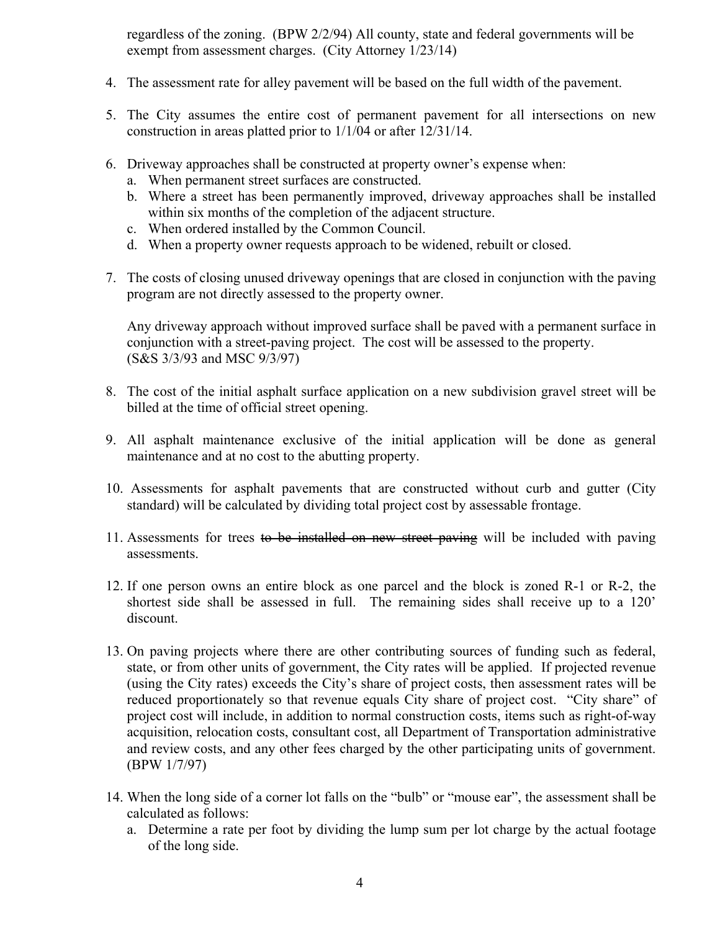regardless of the zoning. (BPW 2/2/94) All county, state and federal governments will be exempt from assessment charges. (City Attorney 1/23/14)

- 4. The assessment rate for alley pavement will be based on the full width of the pavement.
- 5. The City assumes the entire cost of permanent pavement for all intersections on new construction in areas platted prior to 1/1/04 or after 12/31/14.
- 6. Driveway approaches shall be constructed at property owner's expense when:
	- a. When permanent street surfaces are constructed.
	- b. Where a street has been permanently improved, driveway approaches shall be installed within six months of the completion of the adjacent structure.
	- c. When ordered installed by the Common Council.
	- d. When a property owner requests approach to be widened, rebuilt or closed.
- 7. The costs of closing unused driveway openings that are closed in conjunction with the paving program are not directly assessed to the property owner.

Any driveway approach without improved surface shall be paved with a permanent surface in conjunction with a street-paving project. The cost will be assessed to the property. (S&S 3/3/93 and MSC 9/3/97)

- 8. The cost of the initial asphalt surface application on a new subdivision gravel street will be billed at the time of official street opening.
- 9. All asphalt maintenance exclusive of the initial application will be done as general maintenance and at no cost to the abutting property.
- 10. Assessments for asphalt pavements that are constructed without curb and gutter (City standard) will be calculated by dividing total project cost by assessable frontage.
- 11. Assessments for trees to be installed on new street paving will be included with paving assessments.
- 12. If one person owns an entire block as one parcel and the block is zoned R-1 or R-2, the shortest side shall be assessed in full. The remaining sides shall receive up to a 120' discount.
- 13. On paving projects where there are other contributing sources of funding such as federal, state, or from other units of government, the City rates will be applied. If projected revenue (using the City rates) exceeds the City's share of project costs, then assessment rates will be reduced proportionately so that revenue equals City share of project cost. "City share" of project cost will include, in addition to normal construction costs, items such as right-of-way acquisition, relocation costs, consultant cost, all Department of Transportation administrative and review costs, and any other fees charged by the other participating units of government. (BPW 1/7/97)
- 14. When the long side of a corner lot falls on the "bulb" or "mouse ear", the assessment shall be calculated as follows:
	- a. Determine a rate per foot by dividing the lump sum per lot charge by the actual footage of the long side.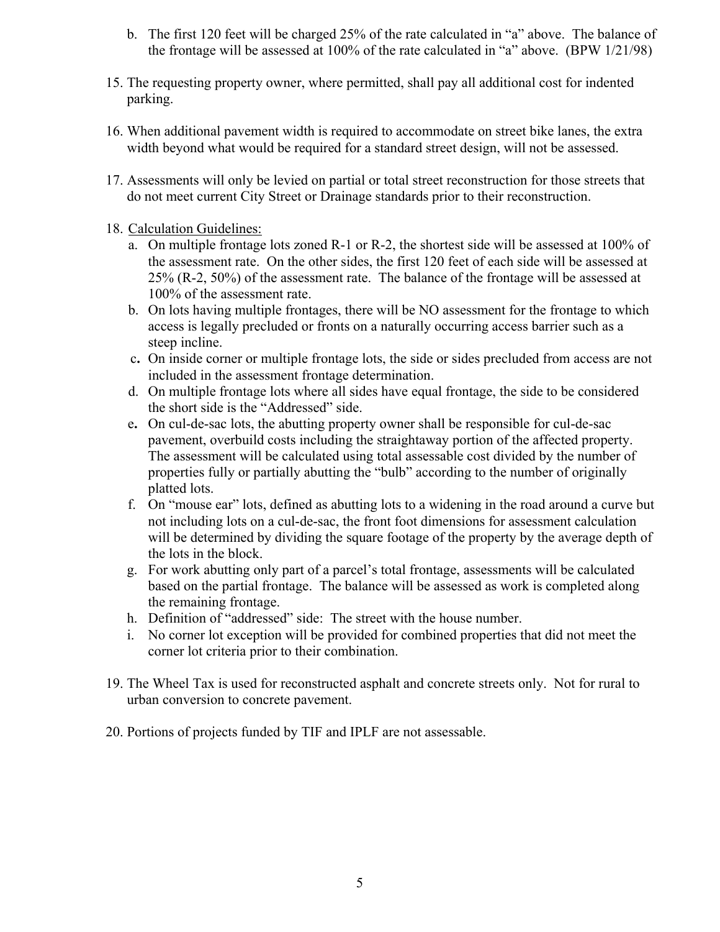- b. The first 120 feet will be charged 25% of the rate calculated in "a" above. The balance of the frontage will be assessed at 100% of the rate calculated in "a" above. (BPW 1/21/98)
- 15. The requesting property owner, where permitted, shall pay all additional cost for indented parking.
- 16. When additional pavement width is required to accommodate on street bike lanes, the extra width beyond what would be required for a standard street design, will not be assessed.
- 17. Assessments will only be levied on partial or total street reconstruction for those streets that do not meet current City Street or Drainage standards prior to their reconstruction.
- 18. Calculation Guidelines:
	- a. On multiple frontage lots zoned R-1 or R-2, the shortest side will be assessed at 100% of the assessment rate. On the other sides, the first 120 feet of each side will be assessed at 25% (R-2, 50%) of the assessment rate. The balance of the frontage will be assessed at 100% of the assessment rate.
	- b. On lots having multiple frontages, there will be NO assessment for the frontage to which access is legally precluded or fronts on a naturally occurring access barrier such as a steep incline.
	- c**.** On inside corner or multiple frontage lots, the side or sides precluded from access are not included in the assessment frontage determination.
	- d. On multiple frontage lots where all sides have equal frontage, the side to be considered the short side is the "Addressed" side.
	- e**.** On cul-de-sac lots, the abutting property owner shall be responsible for cul-de-sac pavement, overbuild costs including the straightaway portion of the affected property. The assessment will be calculated using total assessable cost divided by the number of properties fully or partially abutting the "bulb" according to the number of originally platted lots.
	- f. On "mouse ear" lots, defined as abutting lots to a widening in the road around a curve but not including lots on a cul-de-sac, the front foot dimensions for assessment calculation will be determined by dividing the square footage of the property by the average depth of the lots in the block.
	- g. For work abutting only part of a parcel's total frontage, assessments will be calculated based on the partial frontage. The balance will be assessed as work is completed along the remaining frontage.
	- h. Definition of "addressed" side: The street with the house number.
	- i. No corner lot exception will be provided for combined properties that did not meet the corner lot criteria prior to their combination.
- 19. The Wheel Tax is used for reconstructed asphalt and concrete streets only. Not for rural to urban conversion to concrete pavement.
- 20. Portions of projects funded by TIF and IPLF are not assessable.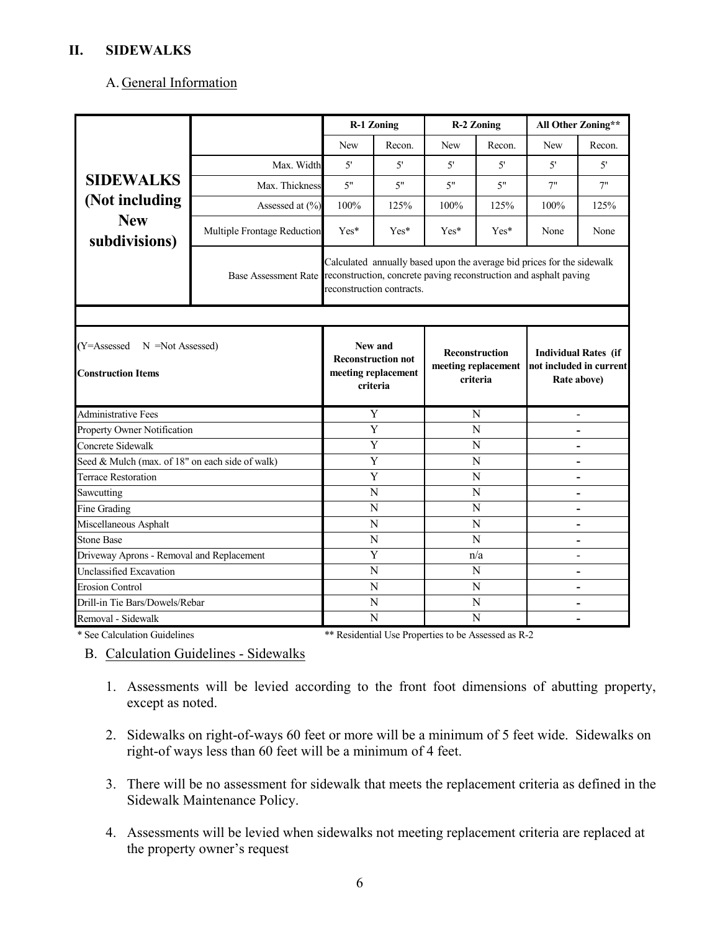#### **II. SIDEWALKS**

#### A. General Information

|                                                           |                             |                                                                                                                                                                                               | <b>R-1 Zoning</b>                                                       |      | <b>R-2 Zoning</b>                                 |                          | All Other Zoning**                                                    |
|-----------------------------------------------------------|-----------------------------|-----------------------------------------------------------------------------------------------------------------------------------------------------------------------------------------------|-------------------------------------------------------------------------|------|---------------------------------------------------|--------------------------|-----------------------------------------------------------------------|
|                                                           |                             | New                                                                                                                                                                                           | Recon.                                                                  | New  | Recon.                                            | New                      | Recon.                                                                |
|                                                           | Max. Width                  | 5'                                                                                                                                                                                            | 5'                                                                      | 5'   | 5'                                                | 5'                       | 5'                                                                    |
| <b>SIDEWALKS</b>                                          | Max. Thickness              | 5"                                                                                                                                                                                            | 5"                                                                      | 5"   | 5"                                                | 7"                       | 7"                                                                    |
| (Not including                                            | Assessed at (%)             | 100%                                                                                                                                                                                          | 125%                                                                    | 100% | 125%                                              | 100%                     | 125%                                                                  |
| <b>New</b><br>subdivisions)                               | Multiple Frontage Reduction | $Yes*$                                                                                                                                                                                        | Yes*                                                                    | Yes* | Yes*                                              | None                     | None                                                                  |
|                                                           |                             | Calculated annually based upon the average bid prices for the sidewalk<br>Base Assessment Rate reconstruction, concrete paving reconstruction and asphalt paving<br>reconstruction contracts. |                                                                         |      |                                                   |                          |                                                                       |
|                                                           |                             |                                                                                                                                                                                               |                                                                         |      |                                                   |                          |                                                                       |
| (Y=Assessed N =Not Assessed)<br><b>Construction Items</b> |                             |                                                                                                                                                                                               | New and<br><b>Reconstruction not</b><br>meeting replacement<br>criteria |      | Reconstruction<br>meeting replacement<br>criteria |                          | <b>Individual Rates (if</b><br>not included in current<br>Rate above) |
| <b>Administrative Fees</b>                                |                             | Y                                                                                                                                                                                             |                                                                         | N    |                                                   |                          |                                                                       |
| Property Owner Notification                               |                             | Y                                                                                                                                                                                             |                                                                         | N    |                                                   |                          |                                                                       |
| Concrete Sidewalk                                         |                             | Y                                                                                                                                                                                             |                                                                         | N    |                                                   | ۰                        |                                                                       |
| Seed & Mulch (max. of 18" on each side of walk)           |                             | Y                                                                                                                                                                                             |                                                                         | N    |                                                   |                          |                                                                       |
| <b>Terrace Restoration</b>                                |                             |                                                                                                                                                                                               | Y                                                                       | N    |                                                   |                          |                                                                       |
| Sawcutting                                                |                             |                                                                                                                                                                                               | N                                                                       |      | N                                                 |                          |                                                                       |
| Fine Grading                                              |                             |                                                                                                                                                                                               | N                                                                       |      | N                                                 | $\overline{\phantom{a}}$ |                                                                       |
| Miscellaneous Asphalt                                     |                             |                                                                                                                                                                                               | N                                                                       |      | N                                                 |                          |                                                                       |
| <b>Stone Base</b>                                         |                             |                                                                                                                                                                                               | N                                                                       |      | N                                                 |                          |                                                                       |
| Driveway Aprons - Removal and Replacement                 |                             |                                                                                                                                                                                               | Y                                                                       |      | n/a                                               |                          |                                                                       |
| Unclassified Excavation                                   |                             | N                                                                                                                                                                                             |                                                                         | N    |                                                   | $\overline{\phantom{0}}$ |                                                                       |
| <b>Erosion Control</b>                                    |                             |                                                                                                                                                                                               | N                                                                       | N    |                                                   |                          |                                                                       |
| Drill-in Tie Bars/Dowels/Rebar                            |                             |                                                                                                                                                                                               | N                                                                       |      | N                                                 |                          |                                                                       |
| Removal - Sidewalk                                        |                             |                                                                                                                                                                                               | N                                                                       |      | N                                                 |                          |                                                                       |

\* See Calculation Guidelines \*\* Residential Use Properties to be Assessed as R-2

B. Calculation Guidelines - Sidewalks

- 1. Assessments will be levied according to the front foot dimensions of abutting property, except as noted.
- 2. Sidewalks on right-of-ways 60 feet or more will be a minimum of 5 feet wide. Sidewalks on right-of ways less than 60 feet will be a minimum of 4 feet.
- 3. There will be no assessment for sidewalk that meets the replacement criteria as defined in the Sidewalk Maintenance Policy.
- 4. Assessments will be levied when sidewalks not meeting replacement criteria are replaced at the property owner's request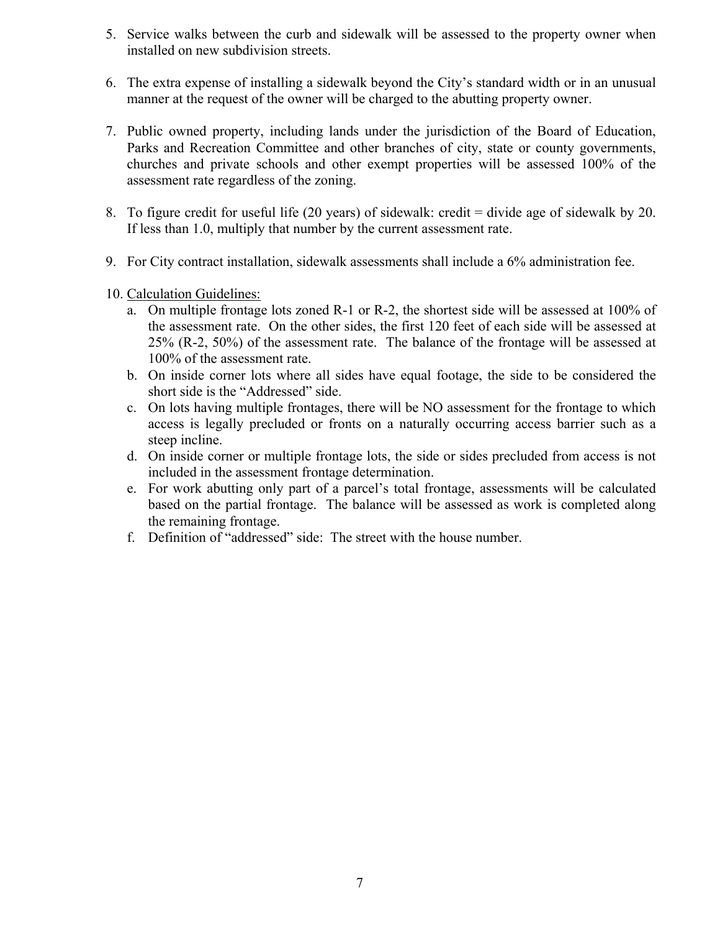- 5. Service walks between the curb and sidewalk will be assessed to the property owner when installed on new subdivision streets.
- 6. The extra expense of installing a sidewalk beyond the City's standard width or in an unusual manner at the request of the owner will be charged to the abutting property owner.
- 7. Public owned property, including lands under the jurisdiction of the Board of Education, Parks and Recreation Committee and other branches of city, state or county governments, churches and private schools and other exempt properties will be assessed 100% of the assessment rate regardless of the zoning.
- 8. To figure credit for useful life (20 years) of sidewalk: credit = divide age of sidewalk by 20. If less than 1.0, multiply that number by the current assessment rate.
- 9. For City contract installation, sidewalk assessments shall include a 6% administration fee.
- 10. Calculation Guidelines:
	- a. On multiple frontage lots zoned R-1 or R-2, the shortest side will be assessed at 100% of the assessment rate. On the other sides, the first 120 feet of each side will be assessed at 25% (R-2, 50%) of the assessment rate. The balance of the frontage will be assessed at 100% of the assessment rate.
	- b. On inside corner lots where all sides have equal footage, the side to be considered the short side is the "Addressed" side.
	- c. On lots having multiple frontages, there will be NO assessment for the frontage to which access is legally precluded or fronts on a naturally occurring access barrier such as a steep incline.
	- d. On inside corner or multiple frontage lots, the side or sides precluded from access is not included in the assessment frontage determination.
	- e. For work abutting only part of a parcel's total frontage, assessments will be calculated based on the partial frontage. The balance will be assessed as work is completed along the remaining frontage.
	- f. Definition of "addressed" side: The street with the house number.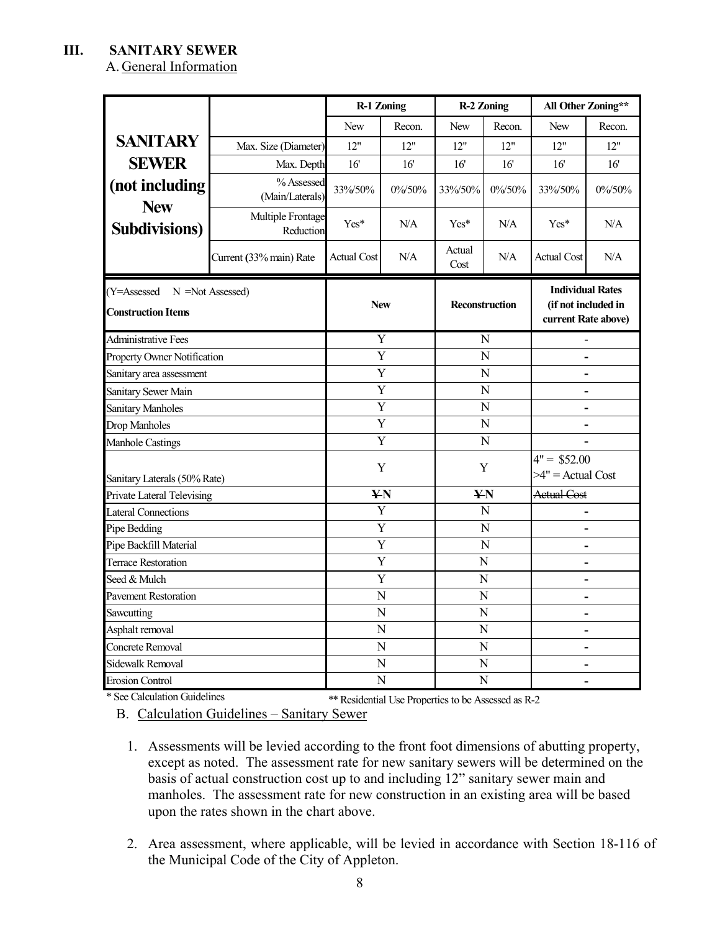### **III. SANITARY SEWER**

A. General Information

|                                                           |                                | <b>R-1 Zoning</b>       |                                     |                | <b>R-2 Zoning</b> | All Other Zoning**                                                    |                          |  |
|-----------------------------------------------------------|--------------------------------|-------------------------|-------------------------------------|----------------|-------------------|-----------------------------------------------------------------------|--------------------------|--|
|                                                           |                                | <b>New</b>              | Recon.                              | <b>New</b>     | Recon.            | <b>New</b>                                                            | Recon.                   |  |
| <b>SANITARY</b>                                           | Max. Size (Diameter)           | 12"                     | 12"                                 | 12"            | 12"               | 12"                                                                   | 12"                      |  |
| <b>SEWER</b>                                              | Max. Depth                     | 16'                     | 16                                  | 16'            | 16'               | 16'                                                                   | 16'                      |  |
| (not including<br><b>New</b>                              | % Assessed<br>(Main/Laterals)  | 33%/50%                 | $0\%$ /50%                          | 33%/50%        | $0\%$ /50%        | 33%/50%                                                               | $0\%$ /50%               |  |
| <b>Subdivisions</b> )                                     | Multiple Frontage<br>Reduction | $Yes*$                  | N/A                                 | $Yes*$         | N/A               | Yes*                                                                  | N/A                      |  |
|                                                           | Current (33% main) Rate        | <b>Actual Cost</b>      | N/A                                 | Actual<br>Cost | N/A               | <b>Actual Cost</b>                                                    | N/A                      |  |
| (Y=Assessed N =Not Assessed)<br><b>Construction Items</b> |                                |                         | <b>New</b><br><b>Reconstruction</b> |                |                   | <b>Individual Rates</b><br>(if not included in<br>current Rate above) |                          |  |
| Administrative Fees                                       |                                | Y                       |                                     |                | N                 |                                                                       |                          |  |
| Property Owner Notification                               |                                | $\overline{\mathrm{Y}}$ |                                     | N              |                   | $\overline{\phantom{0}}$                                              |                          |  |
| Sanitary area assessment                                  |                                | Y                       |                                     | N              |                   | $\overline{\phantom{0}}$                                              |                          |  |
| Sanitary Sewer Main                                       |                                | Y                       |                                     | N              |                   | $\overline{\phantom{a}}$                                              |                          |  |
| Sanitary Manholes                                         |                                | Y                       |                                     | $\mathbf N$    |                   |                                                                       | -                        |  |
| Drop Manholes                                             |                                | Y                       |                                     | $\mathbf N$    |                   |                                                                       |                          |  |
| Manhole Castings                                          |                                | Y                       |                                     | N              |                   |                                                                       |                          |  |
| Sanitary Laterals (50% Rate)                              |                                | Y                       |                                     | Y              |                   | $4" = $52.00$<br>$>4"$ = Actual Cost                                  |                          |  |
| <b>Private Lateral Televising</b>                         |                                | <b>¥N</b>               |                                     | <b>¥N</b>      |                   | <b>Actual Cost</b>                                                    |                          |  |
| <b>Lateral Connections</b>                                |                                | Y                       |                                     | $\mathbf N$    |                   | $\overline{\phantom{0}}$                                              |                          |  |
| Pipe Bedding                                              |                                | Y                       |                                     | $\mathbf N$    |                   | $\overline{\phantom{0}}$                                              |                          |  |
| Pipe Backfill Material                                    |                                |                         | Y                                   |                | N                 |                                                                       | $\overline{\phantom{0}}$ |  |
| <b>Terrace Restoration</b>                                |                                | Y                       |                                     |                | $\mathbf N$       |                                                                       |                          |  |
| Seed & Mulch                                              |                                |                         | Y                                   |                | N                 | ۳                                                                     |                          |  |
| <b>Pavement Restoration</b>                               |                                | N                       |                                     |                | $\overline{N}$    |                                                                       | $\overline{\phantom{0}}$ |  |
| Sawcutting                                                |                                | ${\bf N}$               |                                     |                | $\mathbf N$       | $\blacksquare$                                                        |                          |  |
| Asphalt removal                                           |                                | N                       |                                     | $\overline{N}$ |                   | $\overline{\phantom{0}}$                                              |                          |  |
| Concrete Removal                                          |                                | N                       |                                     |                | N                 |                                                                       | $\overline{\phantom{0}}$ |  |
| Sidewalk Removal                                          |                                | N                       |                                     |                | N                 | -                                                                     |                          |  |
| <b>Erosion Control</b>                                    |                                | N                       |                                     | N              |                   |                                                                       |                          |  |

\* See Calculation Guidelines \*\* Residential Use Properties to be Assessed as R-2

B. Calculation Guidelines – Sanitary Sewer

- 1. Assessments will be levied according to the front foot dimensions of abutting property, except as noted. The assessment rate for new sanitary sewers will be determined on the basis of actual construction cost up to and including 12" sanitary sewer main and manholes. The assessment rate for new construction in an existing area will be based upon the rates shown in the chart above.
- 2. Area assessment, where applicable, will be levied in accordance with Section 18-116 of the Municipal Code of the City of Appleton.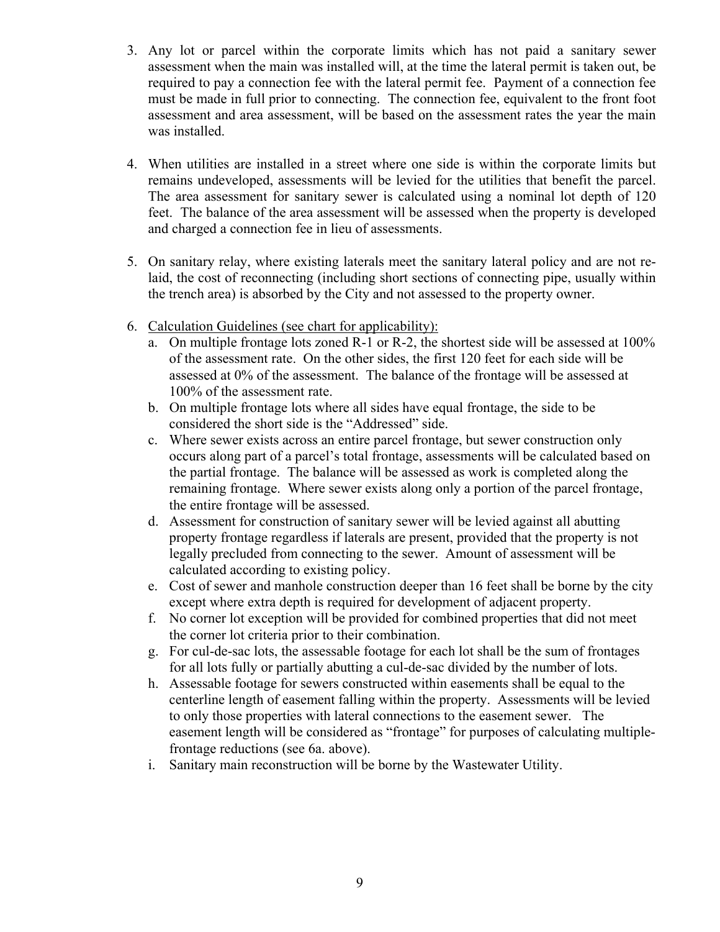- 3. Any lot or parcel within the corporate limits which has not paid a sanitary sewer assessment when the main was installed will, at the time the lateral permit is taken out, be required to pay a connection fee with the lateral permit fee. Payment of a connection fee must be made in full prior to connecting. The connection fee, equivalent to the front foot assessment and area assessment, will be based on the assessment rates the year the main was installed.
- 4. When utilities are installed in a street where one side is within the corporate limits but remains undeveloped, assessments will be levied for the utilities that benefit the parcel. The area assessment for sanitary sewer is calculated using a nominal lot depth of 120 feet. The balance of the area assessment will be assessed when the property is developed and charged a connection fee in lieu of assessments.
- 5. On sanitary relay, where existing laterals meet the sanitary lateral policy and are not relaid, the cost of reconnecting (including short sections of connecting pipe, usually within the trench area) is absorbed by the City and not assessed to the property owner.
- 6. Calculation Guidelines (see chart for applicability):
	- a. On multiple frontage lots zoned R-1 or R-2, the shortest side will be assessed at 100% of the assessment rate. On the other sides, the first 120 feet for each side will be assessed at 0% of the assessment. The balance of the frontage will be assessed at 100% of the assessment rate.
	- b. On multiple frontage lots where all sides have equal frontage, the side to be considered the short side is the "Addressed" side.
	- c. Where sewer exists across an entire parcel frontage, but sewer construction only occurs along part of a parcel's total frontage, assessments will be calculated based on the partial frontage. The balance will be assessed as work is completed along the remaining frontage. Where sewer exists along only a portion of the parcel frontage, the entire frontage will be assessed.
	- d. Assessment for construction of sanitary sewer will be levied against all abutting property frontage regardless if laterals are present, provided that the property is not legally precluded from connecting to the sewer. Amount of assessment will be calculated according to existing policy.
	- e. Cost of sewer and manhole construction deeper than 16 feet shall be borne by the city except where extra depth is required for development of adjacent property.
	- f. No corner lot exception will be provided for combined properties that did not meet the corner lot criteria prior to their combination.
	- g. For cul-de-sac lots, the assessable footage for each lot shall be the sum of frontages for all lots fully or partially abutting a cul-de-sac divided by the number of lots.
	- h. Assessable footage for sewers constructed within easements shall be equal to the centerline length of easement falling within the property. Assessments will be levied to only those properties with lateral connections to the easement sewer. The easement length will be considered as "frontage" for purposes of calculating multiplefrontage reductions (see 6a. above).
	- i. Sanitary main reconstruction will be borne by the Wastewater Utility.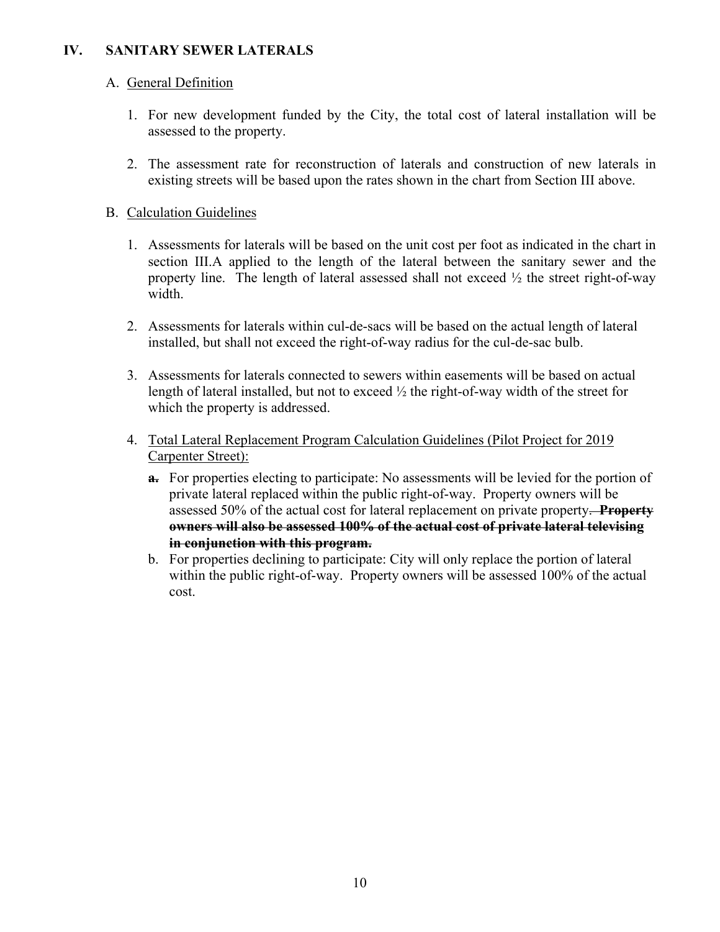### **IV. SANITARY SEWER LATERALS**

### A. General Definition

- 1. For new development funded by the City, the total cost of lateral installation will be assessed to the property.
- 2. The assessment rate for reconstruction of laterals and construction of new laterals in existing streets will be based upon the rates shown in the chart from Section III above.

### B. Calculation Guidelines

- 1. Assessments for laterals will be based on the unit cost per foot as indicated in the chart in section III.A applied to the length of the lateral between the sanitary sewer and the property line. The length of lateral assessed shall not exceed  $\frac{1}{2}$  the street right-of-way width.
- 2. Assessments for laterals within cul-de-sacs will be based on the actual length of lateral installed, but shall not exceed the right-of-way radius for the cul-de-sac bulb.
- 3. Assessments for laterals connected to sewers within easements will be based on actual length of lateral installed, but not to exceed  $\frac{1}{2}$  the right-of-way width of the street for which the property is addressed.
- 4. Total Lateral Replacement Program Calculation Guidelines (Pilot Project for 2019 Carpenter Street):
	- **a.** For properties electing to participate: No assessments will be levied for the portion of private lateral replaced within the public right-of-way. Property owners will be assessed 50% of the actual cost for lateral replacement on private property. **Property owners will also be assessed 100% of the actual cost of private lateral televising in conjunction with this program.**
	- b. For properties declining to participate: City will only replace the portion of lateral within the public right-of-way. Property owners will be assessed 100% of the actual cost.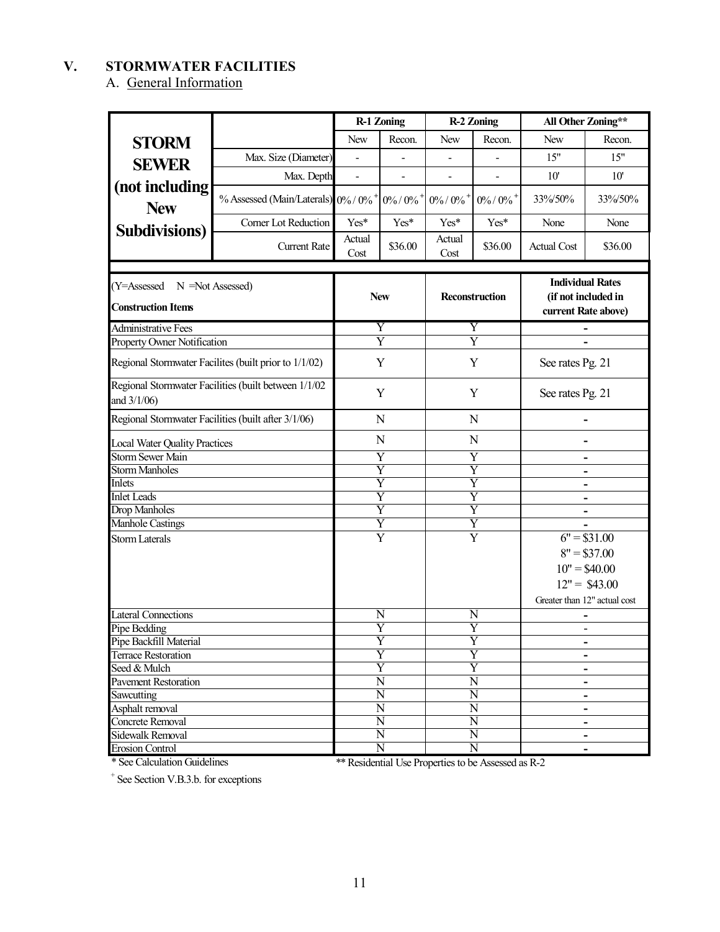## **V. STORMWATER FACILITIES**

A. General Information

|                                                                 |                                                       |                                                    | <b>R-1 Zoning</b>                              |                                             | <b>R-2 Zoning</b>            | All Other Zoning**                                                    |                              |
|-----------------------------------------------------------------|-------------------------------------------------------|----------------------------------------------------|------------------------------------------------|---------------------------------------------|------------------------------|-----------------------------------------------------------------------|------------------------------|
| <b>STORM</b>                                                    |                                                       | <b>New</b>                                         | Recon.                                         | New                                         | Recon.                       | New                                                                   | Recon.                       |
|                                                                 | Max. Size (Diameter)                                  |                                                    |                                                |                                             |                              | 15"                                                                   | 15"                          |
| <b>SEWER</b>                                                    | Max. Depth                                            | $\overline{\phantom{0}}$                           | $\overline{\phantom{a}}$                       | $\overline{\phantom{0}}$                    | $\overline{\phantom{a}}$     | 10'                                                                   | 10'                          |
| (not including<br><b>New</b>                                    | % Assessed (Main/Laterals) 0% / 0%                    |                                                    | $0\% / 0\%$ <sup>+</sup>                       | $0\% / 0\%$ <sup>+</sup>                    | $0\% / 0\%$ <sup>+</sup>     | 33%/50%                                                               | 33%/50%                      |
|                                                                 | Corner Lot Reduction                                  | Yes*                                               | Yes*                                           | Yes*                                        | Yes*                         | None                                                                  | None                         |
| <b>Subdivisions</b> )                                           | <b>Current Rate</b>                                   | Actual<br>Cost                                     | \$36.00                                        | Actual<br>Cost                              | \$36.00                      | <b>Actual Cost</b>                                                    | \$36.00                      |
| (Y=Assessed<br>$N = Not$ Assessed)<br><b>Construction Items</b> |                                                       |                                                    | <b>New</b>                                     | Reconstruction                              |                              | <b>Individual Rates</b><br>(if not included in<br>current Rate above) |                              |
| <b>Administrative Fees</b>                                      |                                                       |                                                    | Y                                              |                                             | Y                            |                                                                       |                              |
| Property Owner Notification                                     |                                                       |                                                    | $\overline{\text{Y}}$                          |                                             | $\overline{\mathrm{Y}}$      |                                                                       |                              |
|                                                                 | Regional Stormwater Facilites (built prior to 1/1/02) |                                                    | Y                                              |                                             | Y                            | See rates Pg. 21                                                      |                              |
| and $3/1/06$ )                                                  | Regional Stormwater Facilities (built between 1/1/02  | Y<br>Y                                             |                                                |                                             | See rates Pg. 21             |                                                                       |                              |
|                                                                 | Regional Stormwater Facilities (built after 3/1/06)   | ${\bf N}$                                          |                                                | N                                           |                              |                                                                       |                              |
| <b>Local Water Quality Practices</b>                            |                                                       | $\mathbf N$                                        |                                                |                                             | N                            |                                                                       |                              |
| <b>Storm Sewer Main</b>                                         |                                                       | Y                                                  |                                                | Y                                           |                              |                                                                       |                              |
| <b>Storm Manholes</b>                                           |                                                       | $\overline{\text{Y}}$                              |                                                | $\overline{\mathrm{Y}}$                     |                              |                                                                       |                              |
| Inlets                                                          |                                                       | $\overline{\text{Y}}$                              |                                                | $\overline{\mathrm{Y}}$                     |                              |                                                                       |                              |
| <b>Inlet Leads</b>                                              |                                                       | $\overline{\mathrm{Y}}$                            |                                                | $\overline{\mathrm{Y}}$                     |                              | -                                                                     |                              |
| <b>Drop Manholes</b>                                            |                                                       | $\overline{\rm Y}$                                 |                                                | $\overline{\mathrm{Y}}$                     |                              |                                                                       |                              |
| <b>Manhole Castings</b>                                         |                                                       | $\overline{\mathrm{Y}}$<br>$\overline{\mathrm{Y}}$ |                                                |                                             |                              |                                                                       |                              |
| <b>Storm Laterals</b>                                           |                                                       |                                                    | Y                                              |                                             | Y                            | $6" = $31.00$                                                         |                              |
|                                                                 |                                                       |                                                    |                                                |                                             |                              |                                                                       | $8" = $37.00$                |
|                                                                 |                                                       |                                                    |                                                |                                             |                              |                                                                       | $10" = $40.00$               |
|                                                                 |                                                       |                                                    |                                                |                                             |                              |                                                                       | $12" = $43.00$               |
|                                                                 |                                                       |                                                    |                                                |                                             |                              |                                                                       | Greater than 12" actual cost |
| <b>Lateral Connections</b>                                      |                                                       |                                                    | N                                              |                                             | N                            |                                                                       |                              |
| Pipe Bedding                                                    |                                                       |                                                    | Y                                              |                                             | $\overline{\mathrm{Y}}$      |                                                                       | $\overline{\phantom{a}}$     |
| Pipe Backfill Material                                          |                                                       |                                                    | Y                                              |                                             | Y                            |                                                                       | $\overline{\phantom{a}}$     |
| <b>Terrace Restoration</b>                                      |                                                       |                                                    | Ÿ                                              |                                             | Y                            |                                                                       | $\overline{\phantom{a}}$     |
| Seed & Mulch                                                    |                                                       |                                                    | $\overline{\mathrm{Y}}$                        |                                             | $\overline{\mathrm{Y}}$      | $\overline{\phantom{a}}$                                              |                              |
| Pavement Restoration                                            |                                                       | $\overline{\text{N}}$                              |                                                | $\overline{\text{N}}$                       |                              | $\overline{\phantom{a}}$                                              |                              |
| Sawcutting                                                      |                                                       |                                                    | $\overline{\text{N}}$                          | $\overline{\text{N}}$<br>$\overline{\rm N}$ |                              | $\overline{\phantom{a}}$                                              |                              |
| Asphalt removal                                                 |                                                       |                                                    | $\overline{\text{N}}$<br>$\overline{\text{N}}$ |                                             |                              | $\overline{\phantom{a}}$                                              |                              |
| Concrete Removal<br>Sidewalk Removal                            |                                                       |                                                    | $\overline{\mathrm{N}}$                        |                                             | N<br>$\overline{\mathrm{N}}$ |                                                                       | $\overline{\phantom{a}}$     |
| <b>Erosion Control</b>                                          |                                                       |                                                    | $\overline{\rm N}$                             |                                             | $\overline{N}$               |                                                                       | $\overline{\phantom{a}}$     |

\* See Calculation Guidelines

\*\* Residential Use Properties to be Assessed as R-2

+ See Section V.B.3.b. for exceptions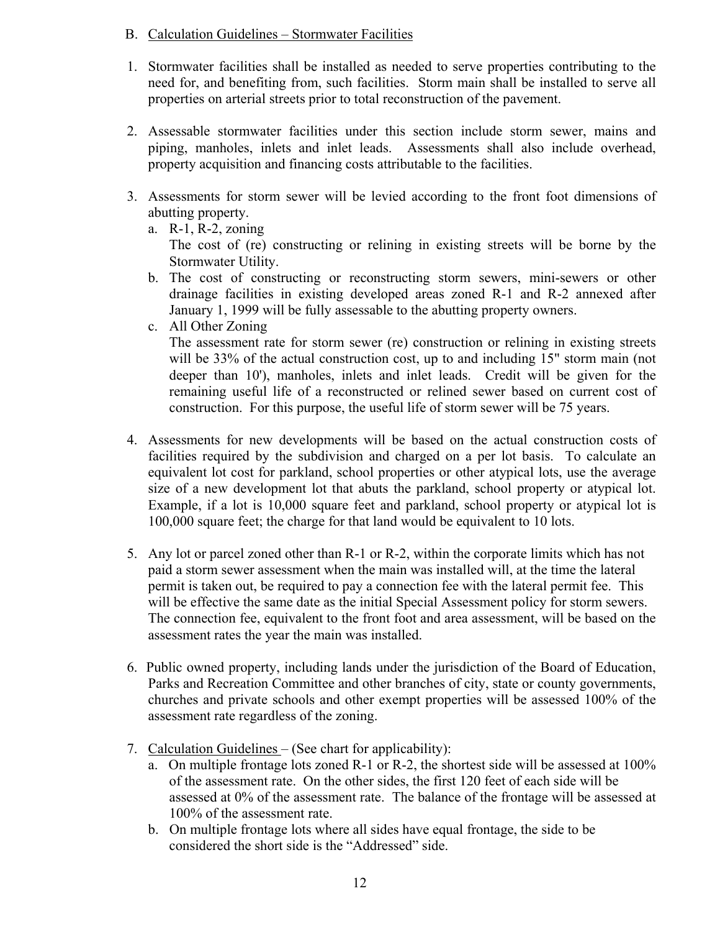#### B. Calculation Guidelines – Stormwater Facilities

- 1. Stormwater facilities shall be installed as needed to serve properties contributing to the need for, and benefiting from, such facilities. Storm main shall be installed to serve all properties on arterial streets prior to total reconstruction of the pavement.
- 2. Assessable stormwater facilities under this section include storm sewer, mains and piping, manholes, inlets and inlet leads. Assessments shall also include overhead, property acquisition and financing costs attributable to the facilities.
- 3. Assessments for storm sewer will be levied according to the front foot dimensions of abutting property.
	- a. R-1, R-2, zoning The cost of (re) constructing or relining in existing streets will be borne by the Stormwater Utility.
	- b. The cost of constructing or reconstructing storm sewers, mini-sewers or other drainage facilities in existing developed areas zoned R-1 and R-2 annexed after January 1, 1999 will be fully assessable to the abutting property owners.
	- c. All Other Zoning

The assessment rate for storm sewer (re) construction or relining in existing streets will be 33% of the actual construction cost, up to and including 15" storm main (not deeper than 10'), manholes, inlets and inlet leads. Credit will be given for the remaining useful life of a reconstructed or relined sewer based on current cost of construction. For this purpose, the useful life of storm sewer will be 75 years.

- 4. Assessments for new developments will be based on the actual construction costs of facilities required by the subdivision and charged on a per lot basis. To calculate an equivalent lot cost for parkland, school properties or other atypical lots, use the average size of a new development lot that abuts the parkland, school property or atypical lot. Example, if a lot is 10,000 square feet and parkland, school property or atypical lot is 100,000 square feet; the charge for that land would be equivalent to 10 lots.
- 5. Any lot or parcel zoned other than R-1 or R-2, within the corporate limits which has not paid a storm sewer assessment when the main was installed will, at the time the lateral permit is taken out, be required to pay a connection fee with the lateral permit fee. This will be effective the same date as the initial Special Assessment policy for storm sewers. The connection fee, equivalent to the front foot and area assessment, will be based on the assessment rates the year the main was installed.
- 6. Public owned property, including lands under the jurisdiction of the Board of Education, Parks and Recreation Committee and other branches of city, state or county governments, churches and private schools and other exempt properties will be assessed 100% of the assessment rate regardless of the zoning.
- 7. Calculation Guidelines (See chart for applicability):
	- a. On multiple frontage lots zoned R-1 or R-2, the shortest side will be assessed at 100% of the assessment rate. On the other sides, the first 120 feet of each side will be assessed at 0% of the assessment rate. The balance of the frontage will be assessed at 100% of the assessment rate.
	- b. On multiple frontage lots where all sides have equal frontage, the side to be considered the short side is the "Addressed" side.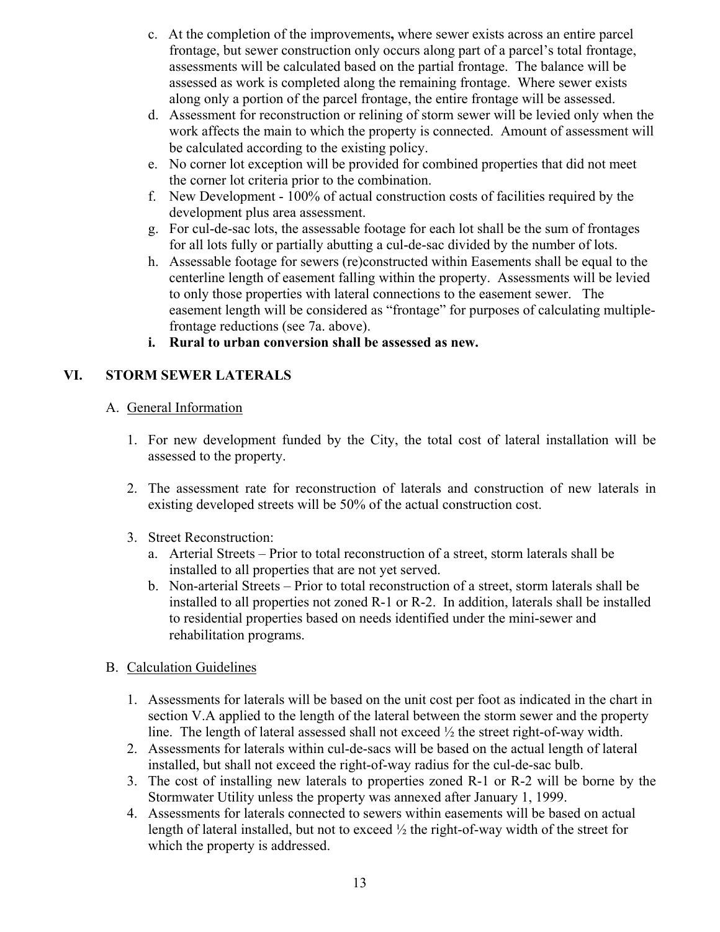- c. At the completion of the improvements**,** where sewer exists across an entire parcel frontage, but sewer construction only occurs along part of a parcel's total frontage, assessments will be calculated based on the partial frontage. The balance will be assessed as work is completed along the remaining frontage. Where sewer exists along only a portion of the parcel frontage, the entire frontage will be assessed.
- d. Assessment for reconstruction or relining of storm sewer will be levied only when the work affects the main to which the property is connected. Amount of assessment will be calculated according to the existing policy.
- e. No corner lot exception will be provided for combined properties that did not meet the corner lot criteria prior to the combination.
- f. New Development 100% of actual construction costs of facilities required by the development plus area assessment.
- g. For cul-de-sac lots, the assessable footage for each lot shall be the sum of frontages for all lots fully or partially abutting a cul-de-sac divided by the number of lots.
- h. Assessable footage for sewers (re)constructed within Easements shall be equal to the centerline length of easement falling within the property. Assessments will be levied to only those properties with lateral connections to the easement sewer. The easement length will be considered as "frontage" for purposes of calculating multiplefrontage reductions (see 7a. above).
- **i. Rural to urban conversion shall be assessed as new.**

## **VI. STORM SEWER LATERALS**

## A. General Information

- 1. For new development funded by the City, the total cost of lateral installation will be assessed to the property.
- 2. The assessment rate for reconstruction of laterals and construction of new laterals in existing developed streets will be 50% of the actual construction cost.
- 3. Street Reconstruction:
	- a. Arterial Streets Prior to total reconstruction of a street, storm laterals shall be installed to all properties that are not yet served.
	- b. Non-arterial Streets Prior to total reconstruction of a street, storm laterals shall be installed to all properties not zoned R-1 or R-2. In addition, laterals shall be installed to residential properties based on needs identified under the mini-sewer and rehabilitation programs.

## B. Calculation Guidelines

- 1. Assessments for laterals will be based on the unit cost per foot as indicated in the chart in section V.A applied to the length of the lateral between the storm sewer and the property line. The length of lateral assessed shall not exceed ½ the street right-of-way width.
- 2. Assessments for laterals within cul-de-sacs will be based on the actual length of lateral installed, but shall not exceed the right-of-way radius for the cul-de-sac bulb.
- 3. The cost of installing new laterals to properties zoned R-1 or R-2 will be borne by the Stormwater Utility unless the property was annexed after January 1, 1999.
- 4. Assessments for laterals connected to sewers within easements will be based on actual length of lateral installed, but not to exceed ½ the right-of-way width of the street for which the property is addressed.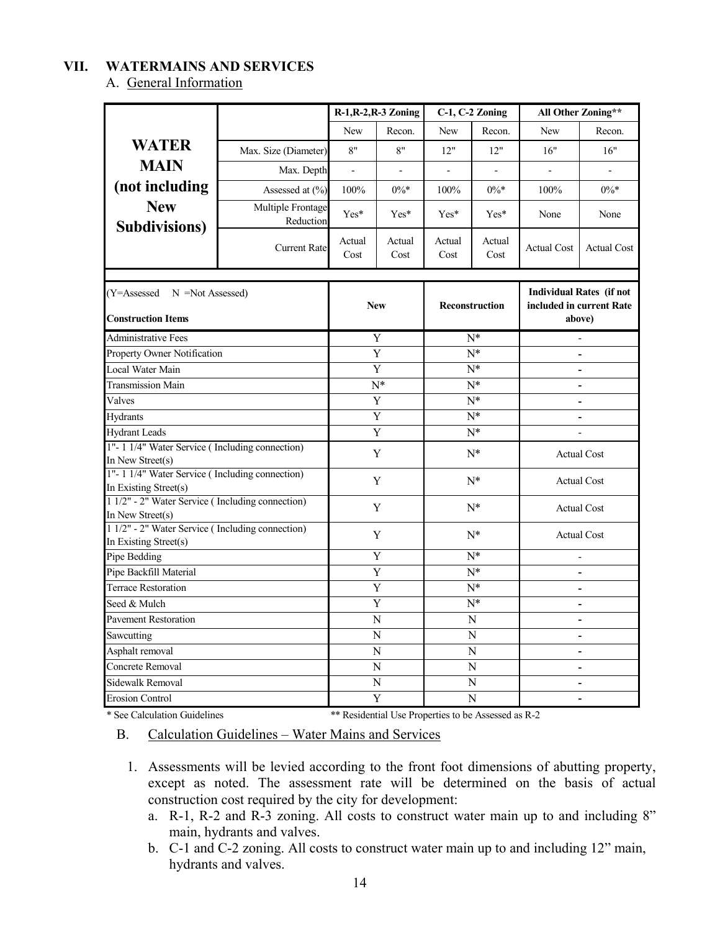#### **VII. WATERMAINS AND SERVICES**

A. General Information

|                                                                           |                                |                | R-1, R-2, R-3 Zoning     | C-1, C-2 Zoning  |                          | All Other Zoning**                                                    |                          |
|---------------------------------------------------------------------------|--------------------------------|----------------|--------------------------|------------------|--------------------------|-----------------------------------------------------------------------|--------------------------|
|                                                                           |                                | New            | Recon.                   | New              | Recon.                   | New                                                                   | Recon.                   |
| <b>WATER</b>                                                              | Max. Size (Diameter)           | 8"             | 8"                       | 12"              | 12"                      | 16"                                                                   | 16"                      |
| <b>MAIN</b>                                                               | Max. Depth                     | $\frac{1}{2}$  | $\overline{\phantom{a}}$ | $\frac{1}{2}$    | $\overline{\phantom{a}}$ | $\overline{a}$                                                        | $\Box$                   |
| (not including                                                            | Assessed at (%)                | 100%           | $0\%*$                   | 100%             | $0\%*$                   | 100%                                                                  | $0\%*$                   |
| <b>New</b><br><b>Subdivisions</b> )                                       | Multiple Frontage<br>Reduction | Yes*           | Yes*                     | Yes*             | $Yes*$                   | None                                                                  | None                     |
|                                                                           | <b>Current Rate</b>            | Actual<br>Cost | Actual<br>Cost           | Actual<br>Cost   | Actual<br>Cost           | <b>Actual Cost</b>                                                    | <b>Actual Cost</b>       |
|                                                                           |                                |                |                          |                  |                          |                                                                       |                          |
| $(Y=Assessed \t N = Not Assessed)$<br><b>Construction Items</b>           |                                |                | <b>New</b>               | Reconstruction   |                          | <b>Individual Rates (if not</b><br>included in current Rate<br>above) |                          |
| Administrative Fees                                                       |                                |                | Y                        |                  | $_{\rm N^*}$             |                                                                       | $\overline{\phantom{a}}$ |
| <b>Property Owner Notification</b>                                        |                                |                | Y                        |                  | $N^*$                    |                                                                       |                          |
| Local Water Main                                                          |                                |                | Y                        | $N^*$            |                          |                                                                       |                          |
| Transmission Main                                                         |                                | $N^*$          |                          | $N^*$            |                          |                                                                       |                          |
| Valves                                                                    |                                |                | $\overline{Y}$           | $\overline{N^*}$ |                          | $\overline{\phantom{a}}$                                              |                          |
| Hydrants                                                                  |                                |                | $N^*$<br>Y               |                  |                          | $\overline{a}$                                                        |                          |
| <b>Hydrant Leads</b>                                                      |                                |                | Y                        | $N^*$            |                          |                                                                       |                          |
| 1"-11/4" Water Service (Including connection)                             |                                | Y              |                          | $N^*$            |                          |                                                                       | <b>Actual Cost</b>       |
| In New Street(s)                                                          |                                |                |                          |                  |                          |                                                                       |                          |
| 1"-11/4" Water Service (Including connection)<br>In Existing Street(s)    |                                | Y              |                          | $N^*$            |                          | <b>Actual Cost</b>                                                    |                          |
| 1 1/2" - 2" Water Service (Including connection)                          |                                |                |                          |                  |                          |                                                                       |                          |
| In New Street(s)                                                          |                                | $N^*$<br>Y     |                          |                  | <b>Actual Cost</b>       |                                                                       |                          |
| 1 1/2" - 2" Water Service (Including connection)<br>In Existing Street(s) |                                | Y              |                          | $N^*$            |                          | <b>Actual Cost</b>                                                    |                          |
| Pipe Bedding                                                              |                                | Y              |                          | $N^*$            |                          | $\overline{\phantom{a}}$                                              |                          |
| Pipe Backfill Material                                                    |                                |                | Y                        |                  | $N^*$                    |                                                                       | $\overline{a}$           |
| Terrace Restoration                                                       |                                |                | Y                        |                  | $N^*$                    |                                                                       | $\blacksquare$           |
| Seed & Mulch                                                              |                                |                | Y                        |                  | $N^*$                    |                                                                       | $\blacksquare$           |
| <b>Pavement Restoration</b>                                               |                                | N              |                          |                  | N                        |                                                                       | $\overline{\phantom{a}}$ |
| Sawcutting                                                                |                                | N              |                          |                  | N                        |                                                                       | $\overline{\phantom{a}}$ |
| Asphalt removal                                                           |                                | N              |                          | N                |                          | $\overline{a}$                                                        |                          |
| Concrete Removal                                                          |                                |                | $\mathbf N$              | $\overline{N}$   |                          | $\overline{a}$                                                        |                          |
| Sidewalk Removal                                                          |                                |                | N                        |                  | N                        |                                                                       |                          |
| <b>Erosion Control</b>                                                    |                                |                | Y                        |                  | N                        |                                                                       | $\blacksquare$           |

\* See Calculation Guidelines \*\* Residential Use Properties to be Assessed as R-2

B. Calculation Guidelines – Water Mains and Services

- 1. Assessments will be levied according to the front foot dimensions of abutting property, except as noted. The assessment rate will be determined on the basis of actual construction cost required by the city for development:
	- a. R-1, R-2 and R-3 zoning. All costs to construct water main up to and including 8" main, hydrants and valves.
	- b. C-1 and C-2 zoning. All costs to construct water main up to and including 12" main, hydrants and valves.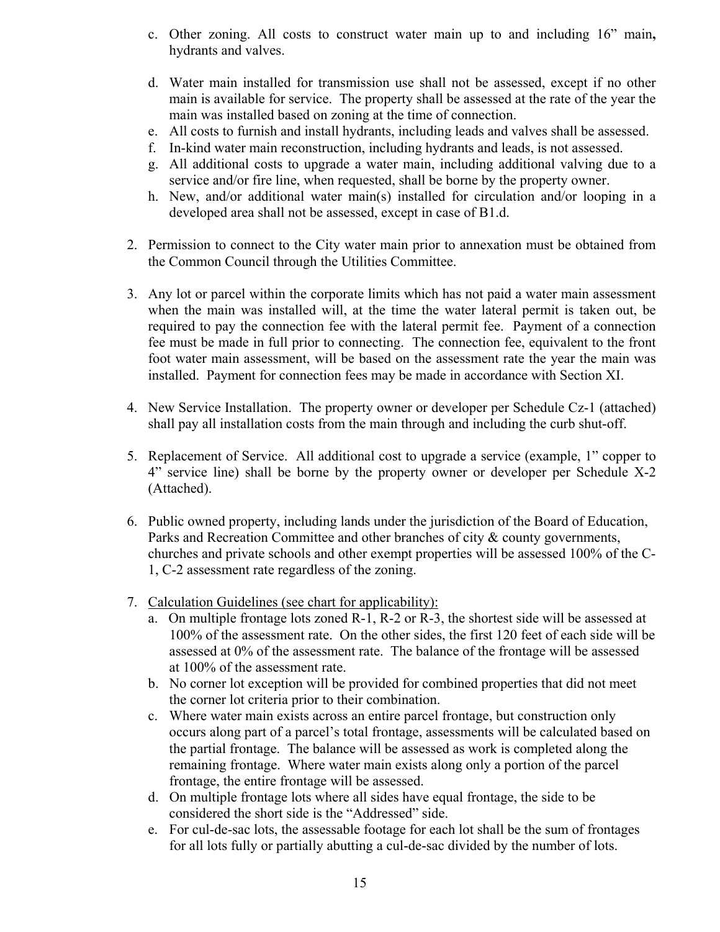- c. Other zoning. All costs to construct water main up to and including 16" main**,**  hydrants and valves.
- d. Water main installed for transmission use shall not be assessed, except if no other main is available for service. The property shall be assessed at the rate of the year the main was installed based on zoning at the time of connection.
- e. All costs to furnish and install hydrants, including leads and valves shall be assessed.
- f. In-kind water main reconstruction, including hydrants and leads, is not assessed.
- g. All additional costs to upgrade a water main, including additional valving due to a service and/or fire line, when requested, shall be borne by the property owner.
- h. New, and/or additional water main(s) installed for circulation and/or looping in a developed area shall not be assessed, except in case of B1.d.
- 2. Permission to connect to the City water main prior to annexation must be obtained from the Common Council through the Utilities Committee.
- 3. Any lot or parcel within the corporate limits which has not paid a water main assessment when the main was installed will, at the time the water lateral permit is taken out, be required to pay the connection fee with the lateral permit fee. Payment of a connection fee must be made in full prior to connecting. The connection fee, equivalent to the front foot water main assessment, will be based on the assessment rate the year the main was installed. Payment for connection fees may be made in accordance with Section XI.
- 4. New Service Installation. The property owner or developer per Schedule Cz-1 (attached) shall pay all installation costs from the main through and including the curb shut-off.
- 5. Replacement of Service. All additional cost to upgrade a service (example, 1" copper to 4" service line) shall be borne by the property owner or developer per Schedule X-2 (Attached).
- 6. Public owned property, including lands under the jurisdiction of the Board of Education, Parks and Recreation Committee and other branches of city & county governments, churches and private schools and other exempt properties will be assessed 100% of the C-1, C-2 assessment rate regardless of the zoning.
- 7. Calculation Guidelines (see chart for applicability):
	- a. On multiple frontage lots zoned R-1, R-2 or R-3, the shortest side will be assessed at 100% of the assessment rate. On the other sides, the first 120 feet of each side will be assessed at 0% of the assessment rate. The balance of the frontage will be assessed at 100% of the assessment rate.
	- b. No corner lot exception will be provided for combined properties that did not meet the corner lot criteria prior to their combination.
	- c. Where water main exists across an entire parcel frontage, but construction only occurs along part of a parcel's total frontage, assessments will be calculated based on the partial frontage. The balance will be assessed as work is completed along the remaining frontage. Where water main exists along only a portion of the parcel frontage, the entire frontage will be assessed.
	- d. On multiple frontage lots where all sides have equal frontage, the side to be considered the short side is the "Addressed" side.
	- e. For cul-de-sac lots, the assessable footage for each lot shall be the sum of frontages for all lots fully or partially abutting a cul-de-sac divided by the number of lots.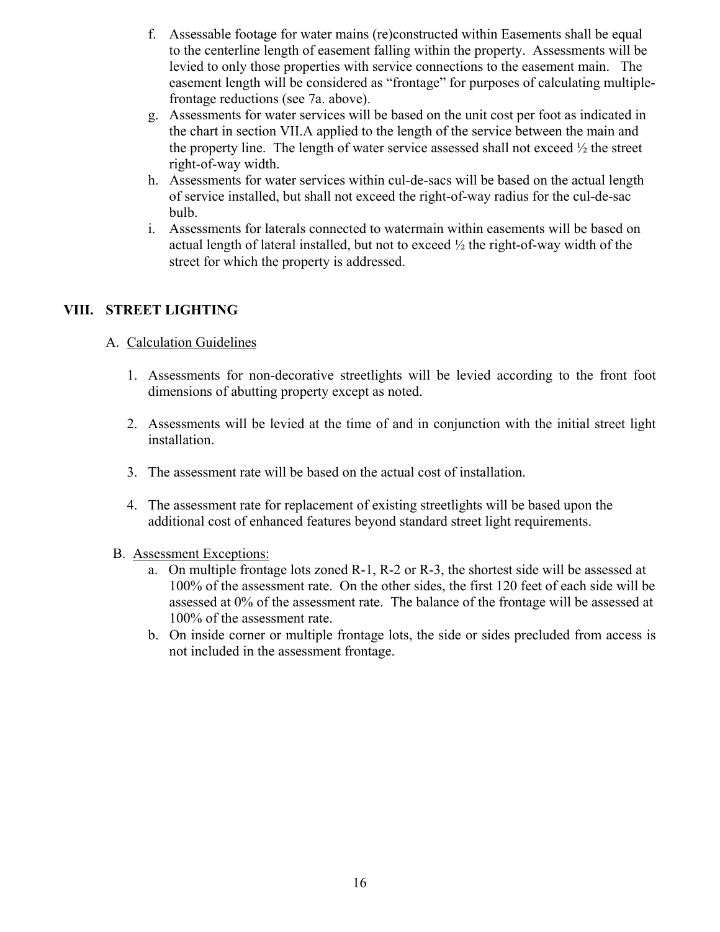- f. Assessable footage for water mains (re)constructed within Easements shall be equal to the centerline length of easement falling within the property. Assessments will be levied to only those properties with service connections to the easement main. The easement length will be considered as "frontage" for purposes of calculating multiplefrontage reductions (see 7a. above).
- g. Assessments for water services will be based on the unit cost per foot as indicated in the chart in section VII.A applied to the length of the service between the main and the property line. The length of water service assessed shall not exceed  $\frac{1}{2}$  the street right-of-way width.
- h. Assessments for water services within cul-de-sacs will be based on the actual length of service installed, but shall not exceed the right-of-way radius for the cul-de-sac bulb.
- i. Assessments for laterals connected to watermain within easements will be based on actual length of lateral installed, but not to exceed  $\frac{1}{2}$  the right-of-way width of the street for which the property is addressed.

### **VIII. STREET LIGHTING**

### A. Calculation Guidelines

- 1. Assessments for non-decorative streetlights will be levied according to the front foot dimensions of abutting property except as noted.
- 2. Assessments will be levied at the time of and in conjunction with the initial street light installation.
- 3. The assessment rate will be based on the actual cost of installation.
- 4. The assessment rate for replacement of existing streetlights will be based upon the additional cost of enhanced features beyond standard street light requirements.
- B. Assessment Exceptions:
	- a. On multiple frontage lots zoned R-1, R-2 or R-3, the shortest side will be assessed at 100% of the assessment rate. On the other sides, the first 120 feet of each side will be assessed at 0% of the assessment rate. The balance of the frontage will be assessed at 100% of the assessment rate.
	- b. On inside corner or multiple frontage lots, the side or sides precluded from access is not included in the assessment frontage.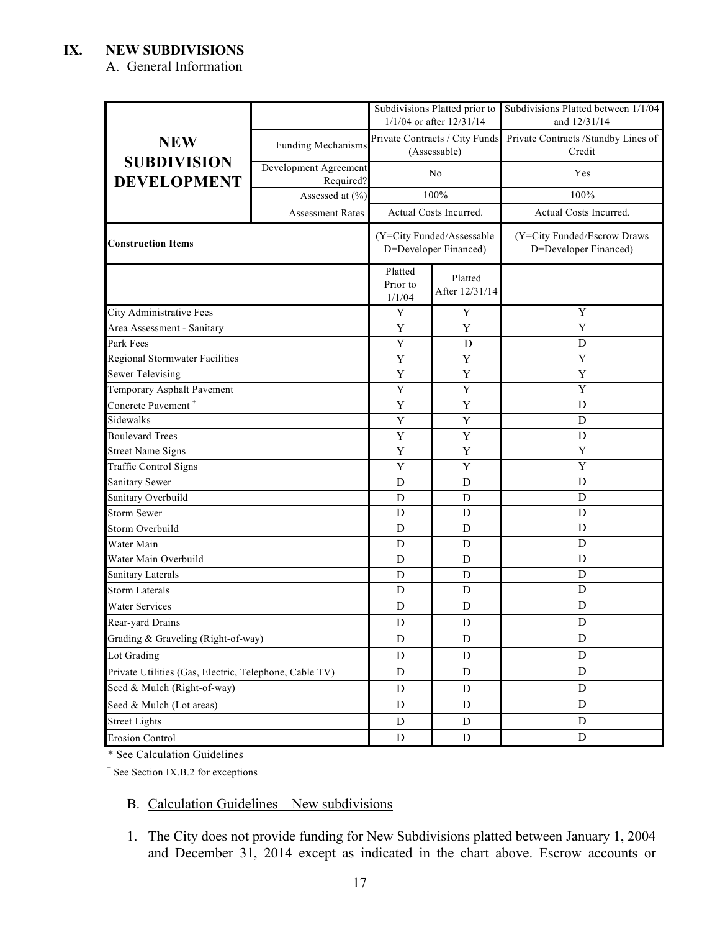### **IX. NEW SUBDIVISIONS**

## A. General Information

|                                                        |                                    |                               | Subdivisions Platted prior to<br>1/1/04 or after 12/31/14 | Subdivisions Platted between 1/1/04<br>and 12/31/14                           |
|--------------------------------------------------------|------------------------------------|-------------------------------|-----------------------------------------------------------|-------------------------------------------------------------------------------|
| <b>NEW</b>                                             | Funding Mechanisms                 |                               | (Assessable)                                              | Private Contracts / City Funds Private Contracts / Standby Lines of<br>Credit |
| <b>SUBDIVISION</b><br><b>DEVELOPMENT</b>               | Development Agreement<br>Required? |                               | N <sub>o</sub>                                            | Yes                                                                           |
|                                                        | Assessed at (%)                    |                               | 100%                                                      | 100%                                                                          |
|                                                        | <b>Assessment Rates</b>            |                               | Actual Costs Incurred.                                    | Actual Costs Incurred.                                                        |
| <b>Construction Items</b>                              |                                    |                               | (Y=City Funded/Assessable<br>D=Developer Financed)        | (Y=City Funded/Escrow Draws<br>D=Developer Financed)                          |
|                                                        |                                    | Platted<br>Prior to<br>1/1/04 | Platted<br>After 12/31/14                                 |                                                                               |
| City Administrative Fees                               |                                    | Y                             | $\mathbf Y$                                               | $\mathbf Y$                                                                   |
| Area Assessment - Sanitary                             |                                    | Y                             | Y                                                         | Y                                                                             |
| Park Fees                                              |                                    | Y                             | D                                                         | D                                                                             |
| Regional Stormwater Facilities                         |                                    | $\mathbf Y$                   | Y                                                         | Y                                                                             |
| <b>Sewer Televising</b>                                |                                    | $\mathbf Y$                   | Y                                                         | $\mathbf Y$                                                                   |
| Temporary Asphalt Pavement                             | Y                                  | Y                             | Y                                                         |                                                                               |
| Concrete Pavement <sup>+</sup>                         |                                    | Y                             | Y                                                         | D                                                                             |
| Sidewalks                                              | Y                                  | Y                             | D                                                         |                                                                               |
| <b>Boulevard Trees</b>                                 | Y                                  | Y                             | $\mathbf D$                                               |                                                                               |
| <b>Street Name Signs</b>                               |                                    | Y                             | Y                                                         | $\mathbf Y$                                                                   |
| Traffic Control Signs                                  |                                    | $\mathbf Y$                   | Y                                                         | $\mathbf Y$                                                                   |
| Sanitary Sewer                                         |                                    | D                             | $\mathbf D$                                               | D                                                                             |
| Sanitary Overbuild                                     |                                    | D                             | D                                                         | D                                                                             |
| <b>Storm Sewer</b>                                     |                                    | D                             | D                                                         | $\mathbf D$                                                                   |
| Storm Overbuild                                        |                                    | D                             | D                                                         | D                                                                             |
| Water Main                                             |                                    | $\mathbf D$                   | D                                                         | D                                                                             |
| Water Main Overbuild                                   |                                    | D                             | D                                                         | $\mathbf D$                                                                   |
| Sanitary Laterals                                      |                                    | D                             | D                                                         | D                                                                             |
| <b>Storm Laterals</b>                                  |                                    | $\mathbf D$                   | D                                                         | D                                                                             |
| Water Services                                         |                                    | D<br>D                        |                                                           | D                                                                             |
| Rear-yard Drains                                       |                                    | ${\rm D}$                     | ${\rm D}$                                                 | ${\bf D}$                                                                     |
| Grading & Graveling (Right-of-way)                     |                                    | $\mathbf D$<br>D              |                                                           | D                                                                             |
| Lot Grading                                            |                                    | D                             | D                                                         | ${\rm D}$                                                                     |
| Private Utilities (Gas, Electric, Telephone, Cable TV) | D                                  | D                             | D                                                         |                                                                               |
| Seed & Mulch (Right-of-way)                            | ${\bf D}$                          | $\mathbf D$                   | ${\rm D}$                                                 |                                                                               |
| Seed & Mulch (Lot areas)                               | ${\bf D}$                          | D                             | ${\rm D}$                                                 |                                                                               |
| <b>Street Lights</b>                                   |                                    | ${\rm D}$                     | D                                                         | D                                                                             |
| <b>Erosion Control</b>                                 | ${\rm D}$                          | $\mathbf D$                   | ${\rm D}$                                                 |                                                                               |

\* See Calculation Guidelines

+ See Section IX.B.2 for exceptions

### B. Calculation Guidelines – New subdivisions

1. The City does not provide funding for New Subdivisions platted between January 1, 2004 and December 31, 2014 except as indicated in the chart above. Escrow accounts or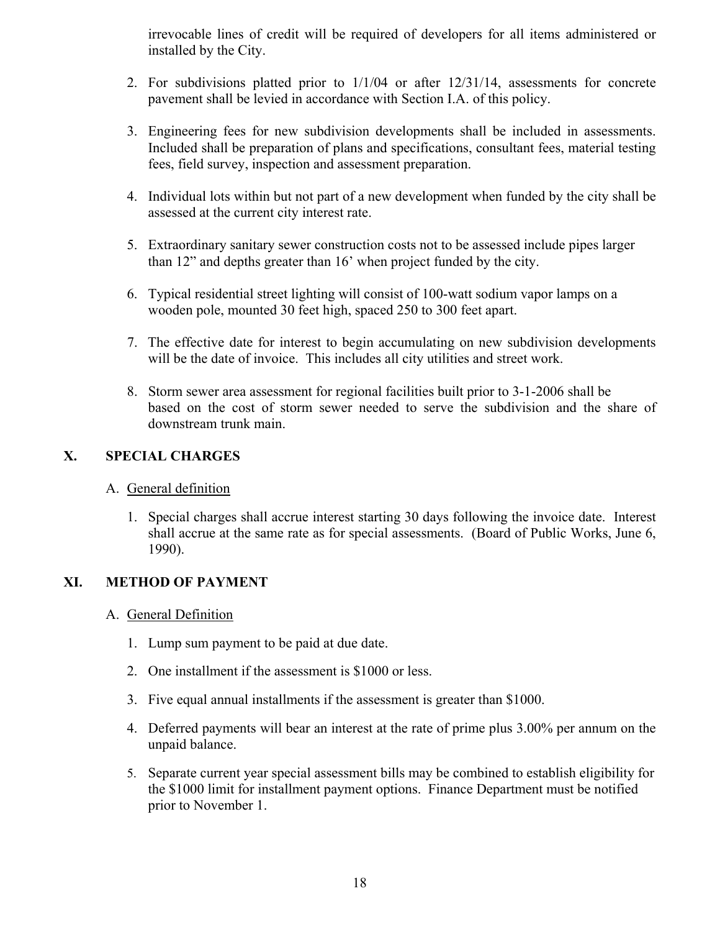irrevocable lines of credit will be required of developers for all items administered or installed by the City.

- 2. For subdivisions platted prior to 1/1/04 or after 12/31/14, assessments for concrete pavement shall be levied in accordance with Section I.A. of this policy.
- 3. Engineering fees for new subdivision developments shall be included in assessments. Included shall be preparation of plans and specifications, consultant fees, material testing fees, field survey, inspection and assessment preparation.
- 4. Individual lots within but not part of a new development when funded by the city shall be assessed at the current city interest rate.
- 5. Extraordinary sanitary sewer construction costs not to be assessed include pipes larger than 12" and depths greater than 16' when project funded by the city.
- 6. Typical residential street lighting will consist of 100-watt sodium vapor lamps on a wooden pole, mounted 30 feet high, spaced 250 to 300 feet apart.
- 7. The effective date for interest to begin accumulating on new subdivision developments will be the date of invoice. This includes all city utilities and street work.
- 8. Storm sewer area assessment for regional facilities built prior to 3-1-2006 shall be based on the cost of storm sewer needed to serve the subdivision and the share of downstream trunk main.

## **X. SPECIAL CHARGES**

### A. General definition

1. Special charges shall accrue interest starting 30 days following the invoice date. Interest shall accrue at the same rate as for special assessments. (Board of Public Works, June 6, 1990).

### **XI. METHOD OF PAYMENT**

#### A. General Definition

- 1. Lump sum payment to be paid at due date.
- 2. One installment if the assessment is \$1000 or less.
- 3. Five equal annual installments if the assessment is greater than \$1000.
- 4. Deferred payments will bear an interest at the rate of prime plus 3.00% per annum on the unpaid balance.
- 5. Separate current year special assessment bills may be combined to establish eligibility for the \$1000 limit for installment payment options. Finance Department must be notified prior to November 1.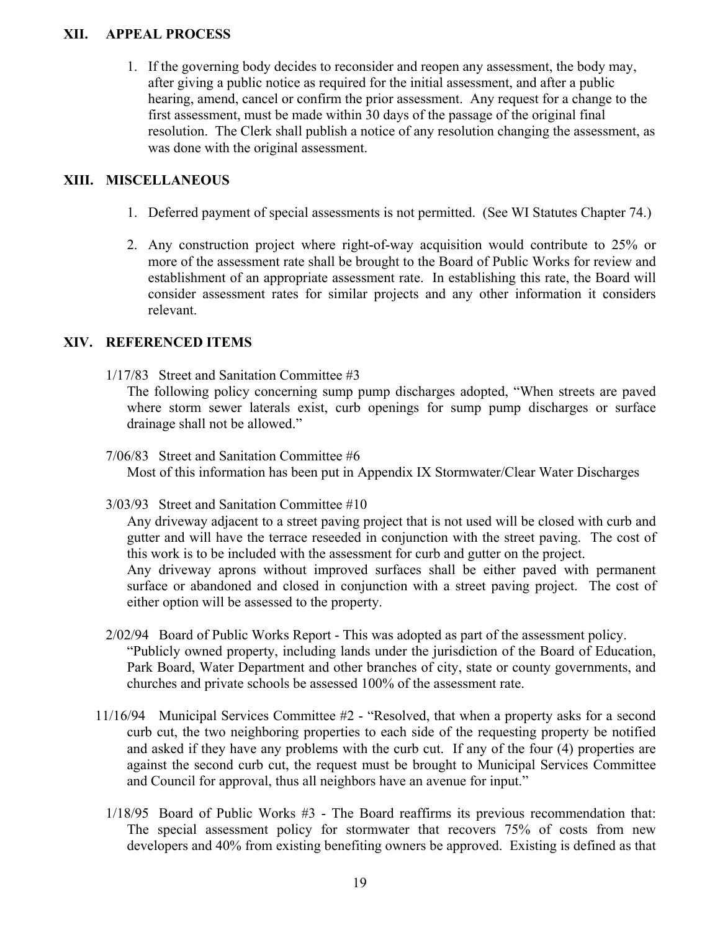#### **XII. APPEAL PROCESS**

1. If the governing body decides to reconsider and reopen any assessment, the body may, after giving a public notice as required for the initial assessment, and after a public hearing, amend, cancel or confirm the prior assessment. Any request for a change to the first assessment, must be made within 30 days of the passage of the original final resolution. The Clerk shall publish a notice of any resolution changing the assessment, as was done with the original assessment.

#### **XIII. MISCELLANEOUS**

- 1. Deferred payment of special assessments is not permitted. (See WI Statutes Chapter 74.)
- 2. Any construction project where right-of-way acquisition would contribute to 25% or more of the assessment rate shall be brought to the Board of Public Works for review and establishment of an appropriate assessment rate. In establishing this rate, the Board will consider assessment rates for similar projects and any other information it considers relevant.

#### **XIV. REFERENCED ITEMS**

1/17/83 Street and Sanitation Committee #3

The following policy concerning sump pump discharges adopted, "When streets are paved where storm sewer laterals exist, curb openings for sump pump discharges or surface drainage shall not be allowed."

- 7/06/83 Street and Sanitation Committee #6 Most of this information has been put in Appendix IX Stormwater/Clear Water Discharges
- 3/03/93 Street and Sanitation Committee #10

Any driveway adjacent to a street paving project that is not used will be closed with curb and gutter and will have the terrace reseeded in conjunction with the street paving. The cost of this work is to be included with the assessment for curb and gutter on the project. Any driveway aprons without improved surfaces shall be either paved with permanent surface or abandoned and closed in conjunction with a street paving project. The cost of either option will be assessed to the property.

- 2/02/94 Board of Public Works Report This was adopted as part of the assessment policy. "Publicly owned property, including lands under the jurisdiction of the Board of Education, Park Board, Water Department and other branches of city, state or county governments, and churches and private schools be assessed 100% of the assessment rate.
- 11/16/94 Municipal Services Committee #2 "Resolved, that when a property asks for a second curb cut, the two neighboring properties to each side of the requesting property be notified and asked if they have any problems with the curb cut. If any of the four (4) properties are against the second curb cut, the request must be brought to Municipal Services Committee and Council for approval, thus all neighbors have an avenue for input."
	- 1/18/95 Board of Public Works #3 The Board reaffirms its previous recommendation that: The special assessment policy for stormwater that recovers 75% of costs from new developers and 40% from existing benefiting owners be approved. Existing is defined as that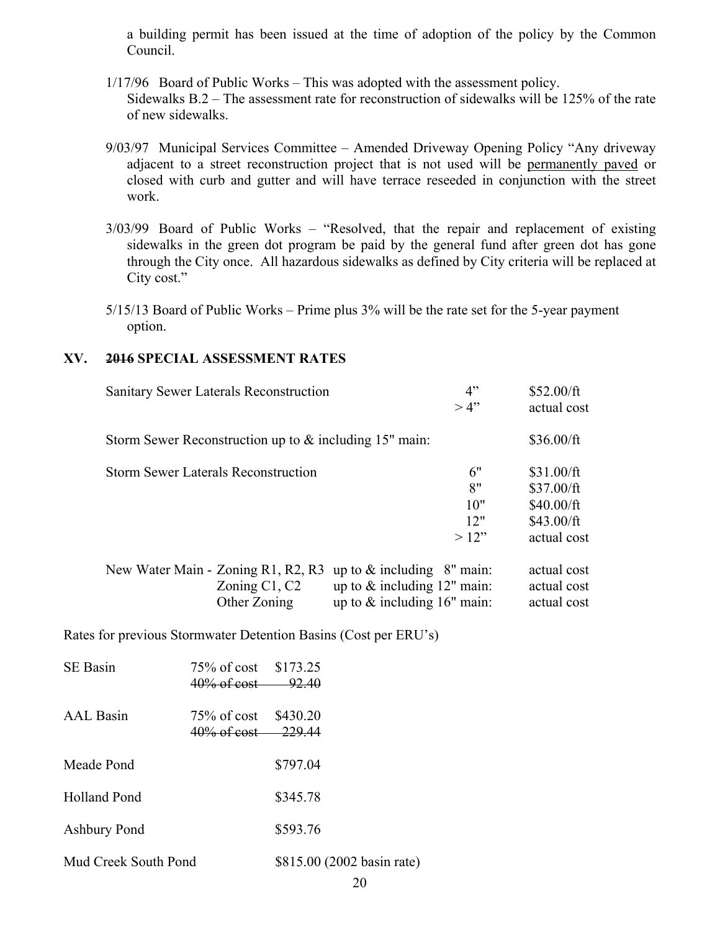a building permit has been issued at the time of adoption of the policy by the Common Council.

- 1/17/96 Board of Public Works This was adopted with the assessment policy. Sidewalks B.2 – The assessment rate for reconstruction of sidewalks will be 125% of the rate of new sidewalks.
- 9/03/97 Municipal Services Committee Amended Driveway Opening Policy "Any driveway adjacent to a street reconstruction project that is not used will be permanently paved or closed with curb and gutter and will have terrace reseeded in conjunction with the street work.
- 3/03/99 Board of Public Works "Resolved, that the repair and replacement of existing sidewalks in the green dot program be paid by the general fund after green dot has gone through the City once. All hazardous sidewalks as defined by City criteria will be replaced at City cost."
- 5/15/13 Board of Public Works Prime plus 3% will be the rate set for the 5-year payment option.

#### **XV. 2016 SPECIAL ASSESSMENT RATES**

|                                            | Sanitary Sewer Laterals Reconstruction                   |                                  | 4"<br>>4" | \$52.00/ft<br>actual cost |
|--------------------------------------------|----------------------------------------------------------|----------------------------------|-----------|---------------------------|
|                                            | Storm Sewer Reconstruction up to $&$ including 15" main: |                                  |           | \$36.00/ft                |
| <b>Storm Sewer Laterals Reconstruction</b> |                                                          |                                  | 6"        | \$31.00/ft                |
|                                            |                                                          |                                  | 8"        | \$37.00/ft                |
|                                            |                                                          |                                  | 10"       | \$40.00/ft                |
|                                            |                                                          |                                  | 12"       | \$43.00/ft                |
|                                            |                                                          |                                  | >12"      | actual cost               |
|                                            | New Water Main - Zoning R1, R2, R3                       | up to $&$ including $& 8"$ main: |           | actual cost               |
|                                            | Zoning $C1, C2$                                          | up to $&$ including 12" main:    |           | actual cost               |
|                                            | Other Zoning                                             | up to $&$ including 16" main:    |           | actual cost               |

Rates for previous Stormwater Detention Basins (Cost per ERU's)

| <b>SE</b> Basin      | 75\% of cost \$173.25<br>$40\%$ of cost $-$ | 92.40                      |
|----------------------|---------------------------------------------|----------------------------|
| <b>AAL</b> Basin     | $75\%$ of cost<br>40\% of cost 229.44       | \$430.20                   |
| Meade Pond           |                                             | \$797.04                   |
| Holland Pond         |                                             | \$345.78                   |
| Ashbury Pond         |                                             | \$593.76                   |
| Mud Creek South Pond |                                             | \$815.00 (2002 basin rate) |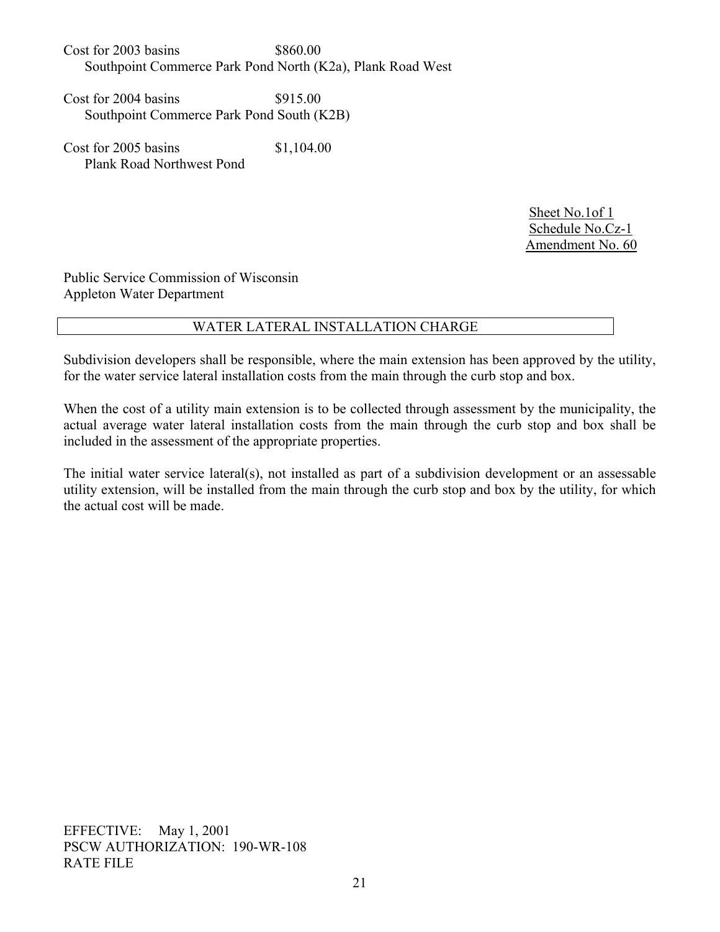$\cos t$  for 2003 basins  $\frac{$860.00}{ }$ Southpoint Commerce Park Pond North (K2a), Plank Road West

 $Cost for 2004 basins$   $$915.00$ Southpoint Commerce Park Pond South (K2B)

Cost for 2005 basins \$1,104.00 Plank Road Northwest Pond

> Sheet No.1of 1 Schedule No.Cz-1 Amendment No. 60

Public Service Commission of Wisconsin Appleton Water Department

### WATER LATERAL INSTALLATION CHARGE

Subdivision developers shall be responsible, where the main extension has been approved by the utility, for the water service lateral installation costs from the main through the curb stop and box.

When the cost of a utility main extension is to be collected through assessment by the municipality, the actual average water lateral installation costs from the main through the curb stop and box shall be included in the assessment of the appropriate properties.

The initial water service lateral(s), not installed as part of a subdivision development or an assessable utility extension, will be installed from the main through the curb stop and box by the utility, for which the actual cost will be made.

EFFECTIVE: May 1, 2001 PSCW AUTHORIZATION: 190-WR-108 RATE FILE